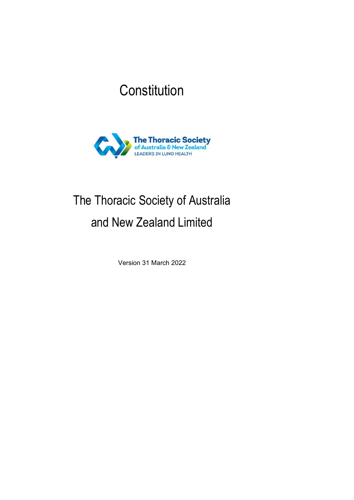## **Constitution**



# The Thoracic Society of Australia and New Zealand Limited

Version 31 March 2022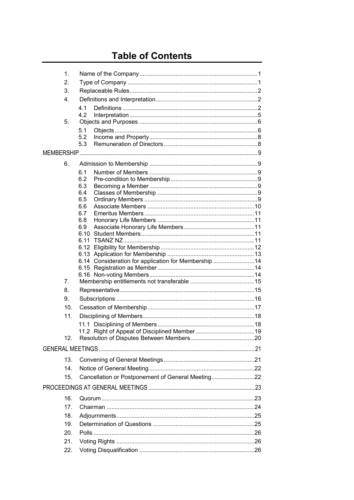## **Table of Contents**

| 1 <sub>1</sub> |                                                       |  |
|----------------|-------------------------------------------------------|--|
| 2.             |                                                       |  |
| 3.             |                                                       |  |
| 4.             |                                                       |  |
|                | 4.1                                                   |  |
|                | 4.2                                                   |  |
| 5.             |                                                       |  |
|                | 5.1                                                   |  |
|                | 5.2<br>5.3                                            |  |
|                |                                                       |  |
|                |                                                       |  |
| 6.             |                                                       |  |
|                | 6.1                                                   |  |
|                | 6.2                                                   |  |
|                | 6.3<br>6.4                                            |  |
|                | 6.5                                                   |  |
|                | 6.6                                                   |  |
|                | 6.7                                                   |  |
|                | 6.8                                                   |  |
|                | 6.9<br>6 10                                           |  |
|                | 6.11                                                  |  |
|                |                                                       |  |
|                |                                                       |  |
|                | 6.14 Consideration for application for Membership  14 |  |
|                |                                                       |  |
|                |                                                       |  |
| 7.             |                                                       |  |
| 8.             |                                                       |  |
| 9.             |                                                       |  |
| 10.            |                                                       |  |
| 11.            |                                                       |  |
|                |                                                       |  |
|                |                                                       |  |
| 12.            |                                                       |  |
|                |                                                       |  |
| 13.            |                                                       |  |
| 14             |                                                       |  |
| 15.            | Cancellation or Postponement of General Meeting22     |  |
|                |                                                       |  |
| 16.            |                                                       |  |
|                |                                                       |  |
| 17.            |                                                       |  |
| 18.            |                                                       |  |
| 19.            |                                                       |  |
| 20.            |                                                       |  |
| 21.            |                                                       |  |
| 22.            |                                                       |  |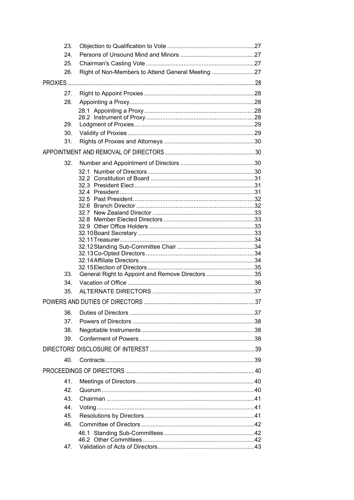| 23. |                                                   |  |
|-----|---------------------------------------------------|--|
| 24. |                                                   |  |
| 25. |                                                   |  |
| 26. | Right of Non-Members to Attend General Meeting 27 |  |
|     |                                                   |  |
| 27. |                                                   |  |
| 28. |                                                   |  |
|     |                                                   |  |
|     |                                                   |  |
| 29. |                                                   |  |
| 30. |                                                   |  |
| 31. |                                                   |  |
|     |                                                   |  |
| 32. |                                                   |  |
|     | 32.1                                              |  |
|     |                                                   |  |
|     |                                                   |  |
|     |                                                   |  |
|     |                                                   |  |
|     |                                                   |  |
|     |                                                   |  |
|     |                                                   |  |
|     |                                                   |  |
|     |                                                   |  |
|     |                                                   |  |
|     |                                                   |  |
| 33. | General Right to Appoint and Remove Directors 35  |  |
| 34. |                                                   |  |
| 35. |                                                   |  |
|     |                                                   |  |
| 36. |                                                   |  |
| 37. |                                                   |  |
| 38. |                                                   |  |
| 39. |                                                   |  |
|     |                                                   |  |
| 40. |                                                   |  |
|     |                                                   |  |
| 41. |                                                   |  |
| 42. |                                                   |  |
| 43. |                                                   |  |
| 44. |                                                   |  |
| 45. |                                                   |  |
| 46. |                                                   |  |
|     |                                                   |  |
|     |                                                   |  |
| 47. |                                                   |  |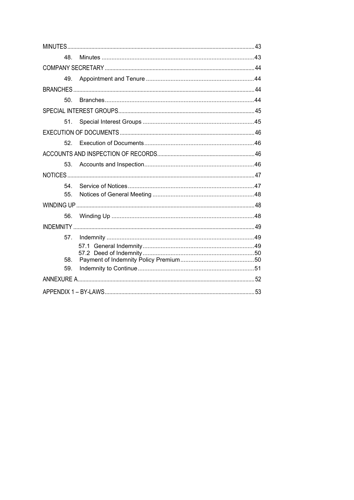| 48.             |  |  |  |  |  |
|-----------------|--|--|--|--|--|
|                 |  |  |  |  |  |
| 49.             |  |  |  |  |  |
|                 |  |  |  |  |  |
| 50.             |  |  |  |  |  |
|                 |  |  |  |  |  |
| 51.             |  |  |  |  |  |
|                 |  |  |  |  |  |
|                 |  |  |  |  |  |
|                 |  |  |  |  |  |
| 53 <sub>1</sub> |  |  |  |  |  |
|                 |  |  |  |  |  |
| 54              |  |  |  |  |  |
| 55.             |  |  |  |  |  |
|                 |  |  |  |  |  |
| 56.             |  |  |  |  |  |
|                 |  |  |  |  |  |
| 57.             |  |  |  |  |  |
|                 |  |  |  |  |  |
| 58.             |  |  |  |  |  |
| 59.             |  |  |  |  |  |
|                 |  |  |  |  |  |
|                 |  |  |  |  |  |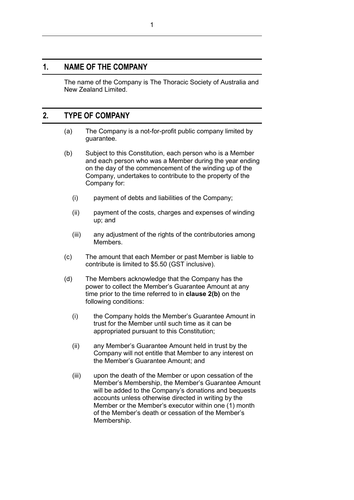## <span id="page-4-0"></span>**1. NAME OF THE COMPANY**

The name of the Company is The Thoracic Society of Australia and New Zealand Limited.

## <span id="page-4-1"></span>**2. TYPE OF COMPANY**

- (a) The Company is a not-for-profit public company limited by guarantee.
- <span id="page-4-2"></span>(b) Subject to this Constitution, each person who is a Member and each person who was a Member during the year ending on the day of the commencement of the winding up of the Company, undertakes to contribute to the property of the Company for:
	- (i) payment of debts and liabilities of the Company;
	- (ii) payment of the costs, charges and expenses of winding up; and
	- (iii) any adjustment of the rights of the contributories among Members.
- <span id="page-4-3"></span>(c) The amount that each Member or past Member is liable to contribute is limited to \$5.50 (GST inclusive).
- (d) The Members acknowledge that the Company has the power to collect the Member's Guarantee Amount at any time prior to the time referred to in **clause [2\(b\)](#page-4-2)** on the following conditions:
	- (i) the Company holds the Member's Guarantee Amount in trust for the Member until such time as it can be appropriated pursuant to this Constitution;
	- (ii) any Member's Guarantee Amount held in trust by the Company will not entitle that Member to any interest on the Member's Guarantee Amount; and
	- (iii) upon the death of the Member or upon cessation of the Member's Membership, the Member's Guarantee Amount will be added to the Company's donations and bequests accounts unless otherwise directed in writing by the Member or the Member's executor within one (1) month of the Member's death or cessation of the Member's Membership.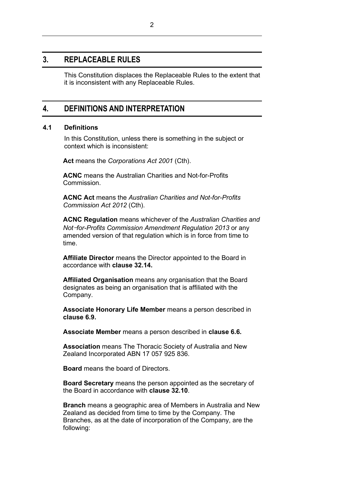## <span id="page-5-0"></span>**3. REPLACEABLE RULES**

This Constitution displaces the Replaceable Rules to the extent that it is inconsistent with any Replaceable Rules.

## <span id="page-5-1"></span>**4. DEFINITIONS AND INTERPRETATION**

#### <span id="page-5-2"></span>**4.1 Definitions**

In this Constitution, unless there is something in the subject or context which is inconsistent:

**Act** means the *Corporations Act 2001* (Cth).

**ACNC** means the Australian Charities and Not-for-Profits Commission.

**ACNC Act** means the *Australian Charities and Not-for-Profits Commission Act 2012* (Cth).

**ACNC Regulation** means whichever of the *Australian Charities and Not*-*for-Profits Commission Amendment Regulation 2013* or any amended version of that regulation which is in force from time to time.

**Affiliate Director** means the Director appointed to the Board in accordance with **clause [32.14.](#page-37-3)** 

**Affiliated Organisation** means any organisation that the Board designates as being an organisation that is affiliated with the Company.

**Associate Honorary Life Member** means a person described in **clause 6.9.**

**Associate Member** means a person described in **clause 6.6.**

**Association** means The Thoracic Society of Australia and New Zealand Incorporated ABN 17 057 925 836.

**Board** means the board of Directors.

**Board Secretary** means the person appointed as the secretary of the Board in accordance with **clause [32.10](#page-36-3)**.

**Branch** means a geographic area of Members in Australia and New Zealand as decided from time to time by the Company. The Branches, as at the date of incorporation of the Company, are the following: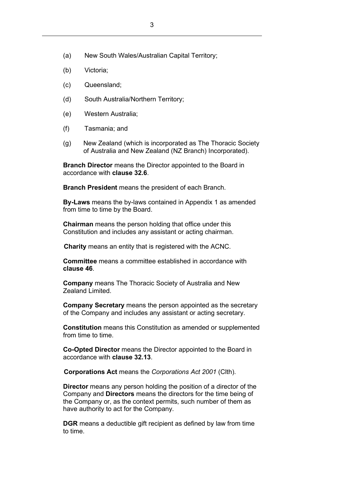- (a) New South Wales/Australian Capital Territory;
- (b) Victoria;
- (c) Queensland;
- (d) South Australia/Northern Territory;
- (e) Western Australia;
- (f) Tasmania; and
- (g) New Zealand (which is incorporated as The Thoracic Society of Australia and New Zealand (NZ Branch) Incorporated).

**Branch Director** means the Director appointed to the Board in accordance with **clause [32.6](#page-35-1)**.

**Branch President** means the president of each Branch.

**By-Laws** means the by-laws contained in Appendix 1 as amended from time to time by the Board.

**Chairman** means the person holding that office under this Constitution and includes any assistant or acting chairman.

**Charity** means an entity that is registered with the ACNC.

**Committee** means a committee established in accordance with **clause 46**.

**Company** means The Thoracic Society of Australia and New Zealand Limited.

**Company Secretary** means the person appointed as the secretary of the Company and includes any assistant or acting secretary.

**Constitution** means this Constitution as amended or supplemented from time to time.

**Co-Opted Director** means the Director appointed to the Board in accordance with **clause [32.13](#page-37-2)**.

**Corporations Act** means the *Corporations Act 2001* (Clth).

**Director** means any person holding the position of a director of the Company and **Directors** means the directors for the time being of the Company or, as the context permits, such number of them as have authority to act for the Company.

**DGR** means a deductible gift recipient as defined by law from time to time.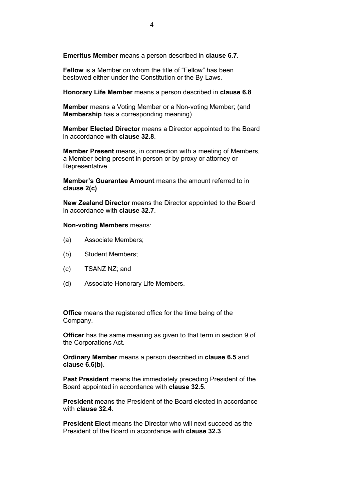**Emeritus Member** means a person described in **clause 6.7.**

**Fellow** is a Member on whom the title of "Fellow" has been bestowed either under the Constitution or the By-Laws.

**Honorary Life Member** means a person described in **clause 6.8**.

**Member** means a Voting Member or a Non-voting Member; (and **Membership** has a corresponding meaning).

**Member Elected Director** means a Director appointed to the Board in accordance with **clause [32.8](#page-36-1)**.

**Member Present** means, in connection with a meeting of Members, a Member being present in person or by proxy or attorney or Representative.

**Member's Guarantee Amount** means the amount referred to in **clause [2\(c\)](#page-4-3)**.

**New Zealand Director** means the Director appointed to the Board in accordance with **clause [32.7](#page-36-0)**.

**Non-voting Members** means:

- (a) Associate Members;
- (b) Student Members;
- (c) TSANZ NZ; and
- (d) Associate Honorary Life Members.

**Office** means the registered office for the time being of the Company.

**Officer** has the same meaning as given to that term in section 9 of the Corporations Act.

**Ordinary Member** means a person described in **clause 6.5** and **clause 6.6(b).**

**Past President** means the immediately preceding President of the Board appointed in accordance with **clause [32.5](#page-35-0)**.

**President** means the President of the Board elected in accordance with **clause [32.4](#page-34-2)**.

**President Elect** means the Director who will next succeed as the President of the Board in accordance with **clause [32.3](#page-34-1)**.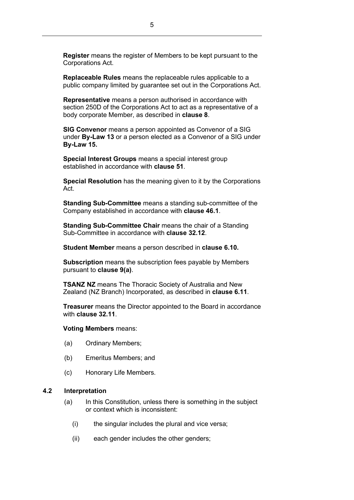**Register** means the register of Members to be kept pursuant to the Corporations Act.

**Replaceable Rules** means the replaceable rules applicable to a public company limited by guarantee set out in the Corporations Act.

**Representative** means a person authorised in accordance with section 250D of the Corporations Act to act as a representative of a body corporate Member, as described in **clause [8](#page-18-1)**.

**SIG Convenor** means a person appointed as Convenor of a SIG under **By-Law 13** or a person elected as a Convenor of a SIG under **By-Law 15.**

**Special Interest Groups** means a special interest group established in accordance with **clause [51](#page-48-1)**.

**Special Resolution** has the meaning given to it by the Corporations Act.

**Standing Sub-Committee** means a standing sub-committee of the Company established in accordance with **clause [46.1](#page-45-1)**.

**Standing Sub-Committee Chair** means the chair of a Standing Sub-Committee in accordance with **clause [32.12](#page-37-1)**.

**Student Member** means a person described in **clause 6.10.**

**Subscription** means the subscription fees payable by Members pursuant to **clause [9\(a\)](#page-19-1)**.

**TSANZ NZ** means The Thoracic Society of Australia and New Zealand (NZ Branch) Incorporated, as described in **clause 6.11**.

**Treasurer** means the Director appointed to the Board in accordance with **clause [32.11](#page-37-0)**.

#### **Voting Members** means:

- (a) Ordinary Members;
- (b) Emeritus Members; and
- (c) Honorary Life Members.

#### <span id="page-8-0"></span>**4.2 Interpretation**

- (a) In this Constitution, unless there is something in the subject or context which is inconsistent:
	- (i) the singular includes the plural and vice versa;
	- (ii) each gender includes the other genders;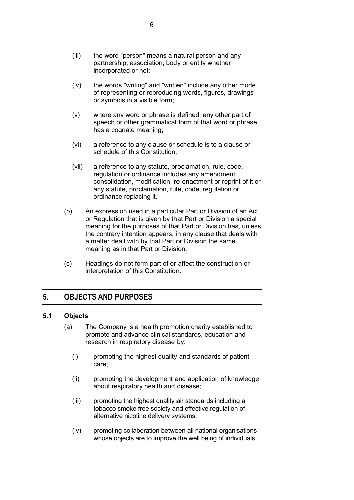- (iii) the word "person" means a natural person and any partnership, association, body or entity whether incorporated or not;
- (iv) the words "writing" and "written" include any other mode of representing or reproducing words, figures, drawings or symbols in a visible form;
- (v) where any word or phrase is defined, any other part of speech or other grammatical form of that word or phrase has a cognate meaning;
- (vi) a reference to any clause or schedule is to a clause or schedule of this Constitution;
- (vii) a reference to any statute, proclamation, rule, code, regulation or ordinance includes any amendment, consolidation, modification, re-enactment or reprint of it or any statute, proclamation, rule, code, regulation or ordinance replacing it.
- (b) An expression used in a particular Part or Division of an Act or Regulation that is given by that Part or Division a special meaning for the purposes of that Part or Division has, unless the contrary intention appears, in any clause that deals with a matter dealt with by that Part or Division the same meaning as in that Part or Division.
- (c) Headings do not form part of or affect the construction or interpretation of this Constitution.

## <span id="page-9-0"></span>**5. OBJECTS AND PURPOSES**

#### <span id="page-9-1"></span>**5.1 Objects**

- (a) The Company is a health promotion charity established to promote and advance clinical standards, education and research in respiratory disease by:
	- (i) promoting the highest quality and standards of patient care;
	- (ii) promoting the development and application of knowledge about respiratory health and disease;
	- (iii) promoting the highest quality air standards including a tobacco smoke free society and effective regulation of alternative nicotine delivery systems;
	- (iv) promoting collaboration between all national organisations whose objects are to improve the well being of individuals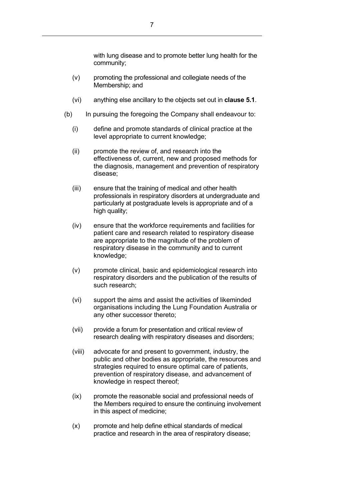with lung disease and to promote better lung health for the community;

- (v) promoting the professional and collegiate needs of the Membership; and
- (vi) anything else ancillary to the objects set out in **clause 5.1**.
- (b) In pursuing the foregoing the Company shall endeavour to:
	- (i) define and promote standards of clinical practice at the level appropriate to current knowledge;
	- (ii) promote the review of, and research into the effectiveness of, current, new and proposed methods for the diagnosis, management and prevention of respiratory disease;
	- (iii) ensure that the training of medical and other health professionals in respiratory disorders at undergraduate and particularly at postgraduate levels is appropriate and of a high quality;
	- (iv) ensure that the workforce requirements and facilities for patient care and research related to respiratory disease are appropriate to the magnitude of the problem of respiratory disease in the community and to current knowledge;
	- (v) promote clinical, basic and epidemiological research into respiratory disorders and the publication of the results of such research;
	- (vi) support the aims and assist the activities of likeminded organisations including the Lung Foundation Australia or any other successor thereto;
	- (vii) provide a forum for presentation and critical review of research dealing with respiratory diseases and disorders;
	- (viii) advocate for and present to government, industry, the public and other bodies as appropriate, the resources and strategies required to ensure optimal care of patients, prevention of respiratory disease, and advancement of knowledge in respect thereof;
	- (ix) promote the reasonable social and professional needs of the Members required to ensure the continuing involvement in this aspect of medicine;
	- (x) promote and help define ethical standards of medical practice and research in the area of respiratory disease;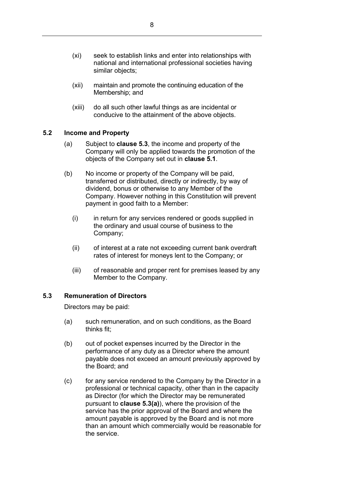- (xi) seek to establish links and enter into relationships with national and international professional societies having similar objects;
- (xii) maintain and promote the continuing education of the Membership; and
- (xiii) do all such other lawful things as are incidental or conducive to the attainment of the above objects.

#### <span id="page-11-0"></span>**5.2 Income and Property**

- (a) Subject to **clause [5.3](#page-11-1)**, the income and property of the Company will only be applied towards the promotion of the objects of the Company set out in **clause [5.1](#page-9-1)**.
- (b) No income or property of the Company will be paid, transferred or distributed, directly or indirectly, by way of dividend, bonus or otherwise to any Member of the Company. However nothing in this Constitution will prevent payment in good faith to a Member:
	- (i) in return for any services rendered or goods supplied in the ordinary and usual course of business to the Company;
	- (ii) of interest at a rate not exceeding current bank overdraft rates of interest for moneys lent to the Company; or
	- (iii) of reasonable and proper rent for premises leased by any Member to the Company.

#### <span id="page-11-1"></span>**5.3 Remuneration of Directors**

Directors may be paid:

- <span id="page-11-2"></span>(a) such remuneration, and on such conditions, as the Board thinks fit;
- (b) out of pocket expenses incurred by the Director in the performance of any duty as a Director where the amount payable does not exceed an amount previously approved by the Board; and
- (c) for any service rendered to the Company by the Director in a professional or technical capacity, other than in the capacity as Director (for which the Director may be remunerated pursuant to **clause [5.3\(a\)](#page-11-2)**), where the provision of the service has the prior approval of the Board and where the amount payable is approved by the Board and is not more than an amount which commercially would be reasonable for the service.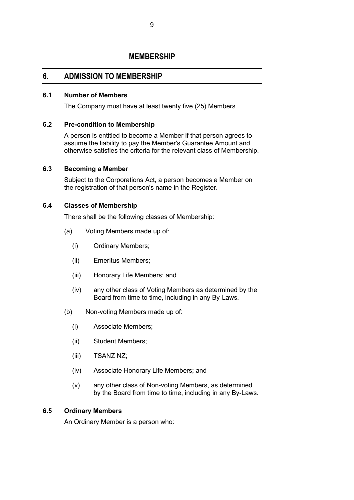## **MEMBERSHIP**

## <span id="page-12-1"></span><span id="page-12-0"></span>**6. ADMISSION TO MEMBERSHIP**

#### <span id="page-12-2"></span>**6.1 Number of Members**

The Company must have at least twenty five (25) Members.

#### <span id="page-12-3"></span>**6.2 Pre-condition to Membership**

A person is entitled to become a Member if that person agrees to assume the liability to pay the Member's Guarantee Amount and otherwise satisfies the criteria for the relevant class of Membership.

#### <span id="page-12-4"></span>**6.3 Becoming a Member**

Subject to the Corporations Act, a person becomes a Member on the registration of that person's name in the Register.

#### <span id="page-12-5"></span>**6.4 Classes of Membership**

There shall be the following classes of Membership:

- (a) Voting Members made up of:
	- (i) Ordinary Members;
	- (ii) Emeritus Members;
	- (iii) Honorary Life Members; and
	- (iv) any other class of Voting Members as determined by the Board from time to time, including in any By-Laws.
- (b) Non-voting Members made up of:
	- (i) Associate Members;
	- (ii) Student Members;
	- (iii) TSANZ NZ;
	- (iv) Associate Honorary Life Members; and
	- (v) any other class of Non-voting Members, as determined by the Board from time to time, including in any By-Laws.

#### <span id="page-12-6"></span>**6.5 Ordinary Members**

An Ordinary Member is a person who: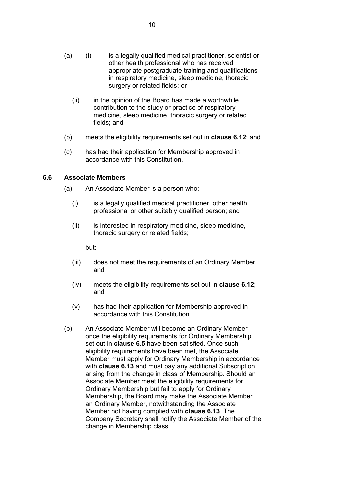- (a) (i) is a legally qualified medical practitioner, scientist or other health professional who has received appropriate postgraduate training and qualifications in respiratory medicine, sleep medicine, thoracic surgery or related fields; or
	- (ii) in the opinion of the Board has made a worthwhile contribution to the study or practice of respiratory medicine, sleep medicine, thoracic surgery or related fields; and
- (b) meets the eligibility requirements set out in **clause [6.12](#page-15-0)**; and
- (c) has had their application for Membership approved in accordance with this Constitution.

#### <span id="page-13-0"></span>**6.6 Associate Members**

- (a) An Associate Member is a person who:
	- (i) is a legally qualified medical practitioner, other health professional or other suitably qualified person; and
	- (ii) is interested in respiratory medicine, sleep medicine, thoracic surgery or related fields;

but:

- (iii) does not meet the requirements of an Ordinary Member; and
- (iv) meets the eligibility requirements set out in **clause [6.12](#page-15-0)**; and
- (v) has had their application for Membership approved in accordance with this Constitution.
- (b) An Associate Member will become an Ordinary Member once the eligibility requirements for Ordinary Membership set out in **clause [6.5](#page-12-6)** have been satisfied. Once such eligibility requirements have been met, the Associate Member must apply for Ordinary Membership in accordance with **clause [6.13](#page-16-0)** and must pay any additional Subscription arising from the change in class of Membership. Should an Associate Member meet the eligibility requirements for Ordinary Membership but fail to apply for Ordinary Membership, the Board may make the Associate Member an Ordinary Member, notwithstanding the Associate Member not having complied with **clause [6.13](#page-16-0)**. The Company Secretary shall notify the Associate Member of the change in Membership class.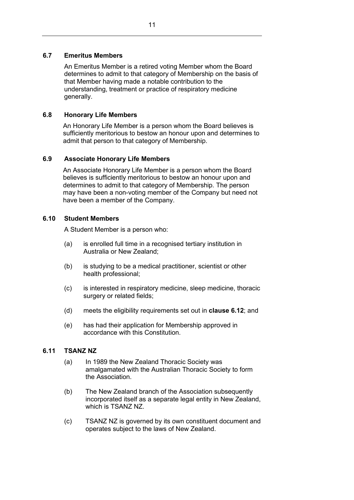#### <span id="page-14-0"></span>**6.7 Emeritus Members**

An Emeritus Member is a retired voting Member whom the Board determines to admit to that category of Membership on the basis of that Member having made a notable contribution to the understanding, treatment or practice of respiratory medicine generally.

#### <span id="page-14-1"></span>**6.8 Honorary Life Members**

An Honorary Life Member is a person whom the Board believes is sufficiently meritorious to bestow an honour upon and determines to admit that person to that category of Membership.

## <span id="page-14-2"></span>**6.9 Associate Honorary Life Members**

An Associate Honorary Life Member is a person whom the Board believes is sufficiently meritorious to bestow an honour upon and determines to admit to that category of Membership. The person may have been a non-voting member of the Company but need not have been a member of the Company.

#### <span id="page-14-3"></span>**6.10 Student Members**

A Student Member is a person who:

- (a) is enrolled full time in a recognised tertiary institution in Australia or New Zealand;
- (b) is studying to be a medical practitioner, scientist or other health professional;
- (c) is interested in respiratory medicine, sleep medicine, thoracic surgery or related fields;
- (d) meets the eligibility requirements set out in **clause 6.12**; and
- (e) has had their application for Membership approved in accordance with this Constitution.

#### <span id="page-14-4"></span>**6.11 TSANZ NZ**

- (a) In 1989 the New Zealand Thoracic Society was amalgamated with the Australian Thoracic Society to form the Association.
- (b) The New Zealand branch of the Association subsequently incorporated itself as a separate legal entity in New Zealand, which is TSANZ NZ.
- (c) TSANZ NZ is governed by its own constituent document and operates subject to the laws of New Zealand.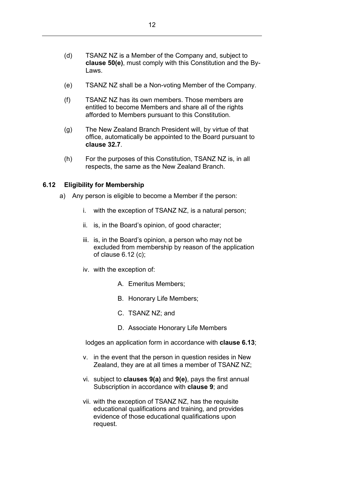- (d) TSANZ NZ is a Member of the Company and, subject to **clause [50\(e\)](#page-48-2)**, must comply with this Constitution and the By-Laws.
- (e) TSANZ NZ shall be a Non-voting Member of the Company.
- (f) TSANZ NZ has its own members. Those members are entitled to become Members and share all of the rights afforded to Members pursuant to this Constitution.
- (g) The New Zealand Branch President will, by virtue of that office, automatically be appointed to the Board pursuant to **clause [32.7](#page-36-0)**.
- (h) For the purposes of this Constitution, TSANZ NZ is, in all respects, the same as the New Zealand Branch.

#### <span id="page-15-0"></span>**6.12 Eligibility for Membership**

- a) Any person is eligible to become a Member if the person:
	- i. with the exception of TSANZ NZ, is a natural person;
	- ii. is, in the Board's opinion, of good character;
	- iii. is, in the Board's opinion, a person who may not be excluded from membership by reason of the application of clause 6.12 (c);
	- iv. with the exception of:
		- A. Emeritus Members;
		- B. Honorary Life Members;
		- C. TSANZ NZ; and
		- D. Associate Honorary Life Members

lodges an application form in accordance with **clause 6.13**;

- v. in the event that the person in question resides in New Zealand, they are at all times a member of TSANZ NZ;
- vi. subject to **clauses [9\(a\)](#page-19-1)** and **[9\(e\)](#page-19-2)**, pays the first annual Subscription in accordance with **clause [9](#page-19-0)**; and
- vii. with the exception of TSANZ NZ, has the requisite educational qualifications and training, and provides evidence of those educational qualifications upon request.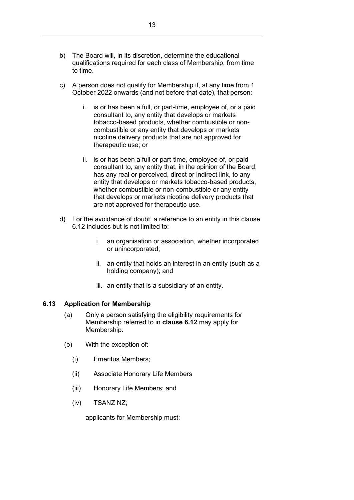- b) The Board will, in its discretion, determine the educational qualifications required for each class of Membership, from time to time.
- c) A person does not qualify for Membership if, at any time from 1 October 2022 onwards (and not before that date), that person:
	- i. is or has been a full, or part-time, employee of, or a paid consultant to, any entity that develops or markets tobacco-based products, whether combustible or noncombustible or any entity that develops or markets nicotine delivery products that are not approved for therapeutic use; or
	- ii. is or has been a full or part-time, employee of, or paid consultant to, any entity that, in the opinion of the Board, has any real or perceived, direct or indirect link, to any entity that develops or markets tobacco-based products, whether combustible or non-combustible or any entity that develops or markets nicotine delivery products that are not approved for therapeutic use.
- d) For the avoidance of doubt, a reference to an entity in this clause 6.12 includes but is not limited to:
	- i. an organisation or association, whether incorporated or unincorporated;
	- ii. an entity that holds an interest in an entity (such as a holding company); and
	- iii. an entity that is a subsidiary of an entity.

#### <span id="page-16-0"></span>**6.13 Application for Membership**

- (a) Only a person satisfying the eligibility requirements for Membership referred to in **clause 6.12** may apply for Membership.
- (b) With the exception of:
	- (i) Emeritus Members;
	- (ii) Associate Honorary Life Members
	- (iii) Honorary Life Members; and
	- (iv) TSANZ NZ;

applicants for Membership must: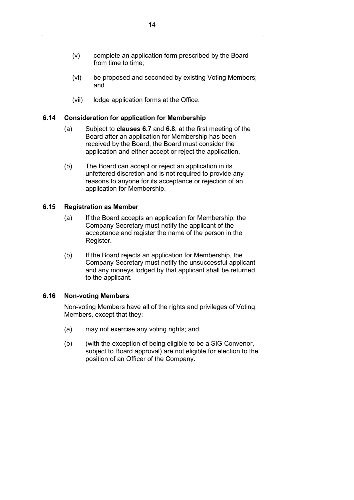- (vi) be proposed and seconded by existing Voting Members; and
- (vii) lodge application forms at the Office.

### <span id="page-17-0"></span>**6.14 Consideration for application for Membership**

- (a) Subject to **clauses [6.7](#page-14-0)** and **[6.8](#page-14-1)**, at the first meeting of the Board after an application for Membership has been received by the Board, the Board must consider the application and either accept or reject the application.
- (b) The Board can accept or reject an application in its unfettered discretion and is not required to provide any reasons to anyone for its acceptance or rejection of an application for Membership.

### <span id="page-17-1"></span>**6.15 Registration as Member**

- (a) If the Board accepts an application for Membership, the Company Secretary must notify the applicant of the acceptance and register the name of the person in the Register.
- (b) If the Board rejects an application for Membership, the Company Secretary must notify the unsuccessful applicant and any moneys lodged by that applicant shall be returned to the applicant.

#### <span id="page-17-2"></span>**6.16 Non-voting Members**

Non-voting Members have all of the rights and privileges of Voting Members, except that they:

- (a) may not exercise any voting rights; and
- (b) (with the exception of being eligible to be a SIG Convenor, subject to Board approval) are not eligible for election to the position of an Officer of the Company.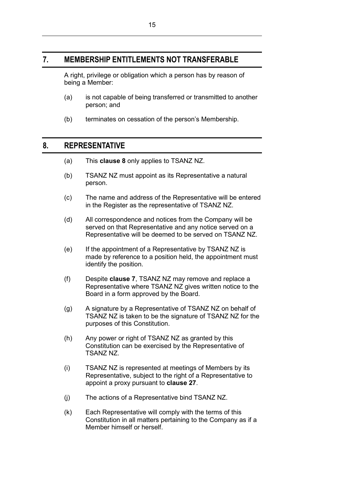## <span id="page-18-0"></span>**7. MEMBERSHIP ENTITLEMENTS NOT TRANSFERABLE**

A right, privilege or obligation which a person has by reason of being a Member:

- (a) is not capable of being transferred or transmitted to another person; and
- (b) terminates on cessation of the person's Membership.

## <span id="page-18-1"></span>**8. REPRESENTATIVE**

- (a) This **clause [8](#page-18-1)** only applies to TSANZ NZ.
- (b) TSANZ NZ must appoint as its Representative a natural person.
- (c) The name and address of the Representative will be entered in the Register as the representative of TSANZ NZ.
- (d) All correspondence and notices from the Company will be served on that Representative and any notice served on a Representative will be deemed to be served on TSANZ NZ.
- (e) If the appointment of a Representative by TSANZ NZ is made by reference to a position held, the appointment must identify the position.
- (f) Despite **clause [7](#page-18-0)**, TSANZ NZ may remove and replace a Representative where TSANZ NZ gives written notice to the Board in a form approved by the Board.
- (g) A signature by a Representative of TSANZ NZ on behalf of TSANZ NZ is taken to be the signature of TSANZ NZ for the purposes of this Constitution.
- (h) Any power or right of TSANZ NZ as granted by this Constitution can be exercised by the Representative of TSANZ NZ.
- (i) TSANZ NZ is represented at meetings of Members by its Representative, subject to the right of a Representative to appoint a proxy pursuant to **clause 27**.
- (j) The actions of a Representative bind TSANZ NZ.
- (k) Each Representative will comply with the terms of this Constitution in all matters pertaining to the Company as if a Member himself or herself.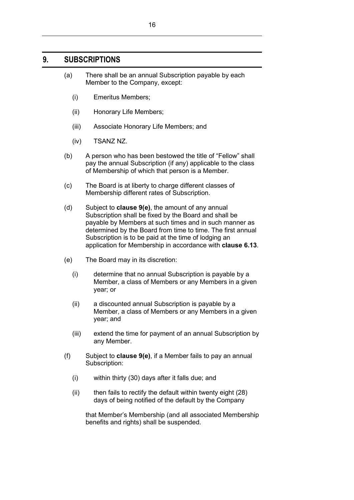## <span id="page-19-1"></span><span id="page-19-0"></span>**9. SUBSCRIPTIONS**

- (a) There shall be an annual Subscription payable by each Member to the Company, except:
	- (i) Emeritus Members;
	- (ii) Honorary Life Members;
	- (iii) Associate Honorary Life Members; and
	- (iv) TSANZ NZ.
- (b) A person who has been bestowed the title of "Fellow" shall pay the annual Subscription (if any) applicable to the class of Membership of which that person is a Member.
- (c) The Board is at liberty to charge different classes of Membership different rates of Subscription.
- (d) Subject to **clause [9\(e\)](#page-19-2)**, the amount of any annual Subscription shall be fixed by the Board and shall be payable by Members at such times and in such manner as determined by the Board from time to time. The first annual Subscription is to be paid at the time of lodging an application for Membership in accordance with **clause 6.13**.
- <span id="page-19-2"></span>(e) The Board may in its discretion:
	- (i) determine that no annual Subscription is payable by a Member, a class of Members or any Members in a given year; or
	- (ii) a discounted annual Subscription is payable by a Member, a class of Members or any Members in a given year; and
	- (iii) extend the time for payment of an annual Subscription by any Member.
- <span id="page-19-3"></span>(f) Subject to **clause [9\(e\)](#page-19-2)**, if a Member fails to pay an annual Subscription:
	- (i) within thirty (30) days after it falls due; and
	- (ii) then fails to rectify the default within twenty eight (28) days of being notified of the default by the Company

that Member's Membership (and all associated Membership benefits and rights) shall be suspended.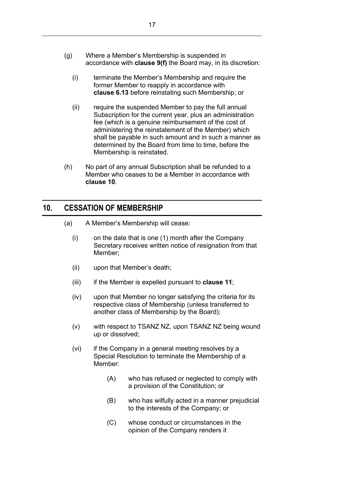- (g) Where a Member's Membership is suspended in accordance with **clause [9\(f\)](#page-19-3)** the Board may, in its discretion:
	- (i) terminate the Member's Membership and require the former Member to reapply in accordance with **clause 6.13** before reinstating such Membership; or
	- (ii) require the suspended Member to pay the full annual Subscription for the current year, plus an administration fee (which is a genuine reimbursement of the cost of administering the reinstatement of the Member) which shall be payable in such amount and in such a manner as determined by the Board from time to time, before the Membership is reinstated.
- (h) No part of any annual Subscription shall be refunded to a Member who ceases to be a Member in accordance with **clause [10](#page-20-0)**.

## <span id="page-20-0"></span>**10. CESSATION OF MEMBERSHIP**

- <span id="page-20-1"></span>(a) A Member's Membership will cease:
	- (i) on the date that is one (1) month after the Company Secretary receives written notice of resignation from that Member;
	- (ii) upon that Member's death;
	- (iii) if the Member is expelled pursuant to **clause [11](#page-21-0)**;
	- (iv) upon that Member no longer satisfying the criteria for its respective class of Membership (unless transferred to another class of Membership by the Board);
	- (v) with respect to TSANZ NZ, upon TSANZ NZ being wound up or dissolved;
	- (vi) if the Company in a general meeting resolves by a Special Resolution to terminate the Membership of a Member:
		- (A) who has refused or neglected to comply with a provision of the Constitution; or
		- (B) who has wilfully acted in a manner prejudicial to the interests of the Company; or
		- (C) whose conduct or circumstances in the opinion of the Company renders it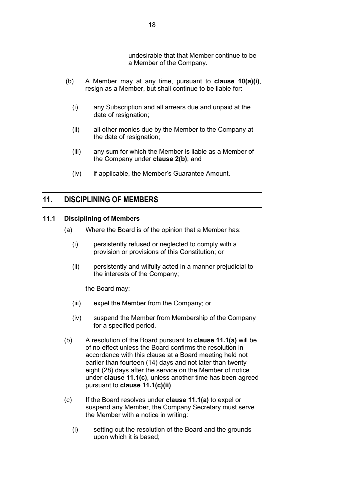undesirable that that Member continue to be a Member of the Company.

- (b) A Member may at any time, pursuant to **clause [10\(a\)\(i\)](#page-20-1)**, resign as a Member, but shall continue to be liable for:
	- (i) any Subscription and all arrears due and unpaid at the date of resignation;
	- (ii) all other monies due by the Member to the Company at the date of resignation;
	- (iii) any sum for which the Member is liable as a Member of the Company under **clause [2\(b\)](#page-4-2)**; and
	- (iv) if applicable, the Member's Guarantee Amount.

## <span id="page-21-0"></span>**11. DISCIPLINING OF MEMBERS**

#### <span id="page-21-2"></span><span id="page-21-1"></span>**11.1 Disciplining of Members**

- (a) Where the Board is of the opinion that a Member has:
	- (i) persistently refused or neglected to comply with a provision or provisions of this Constitution; or
	- (ii) persistently and wilfully acted in a manner prejudicial to the interests of the Company;

the Board may:

- (iii) expel the Member from the Company; or
- (iv) suspend the Member from Membership of the Company for a specified period.
- (b) A resolution of the Board pursuant to **clause [11.1\(a\)](#page-21-2)** will be of no effect unless the Board confirms the resolution in accordance with this clause at a Board meeting held not earlier than fourteen (14) days and not later than twenty eight (28) days after the service on the Member of notice under **clause [11.1\(c\)](#page-21-3)**, unless another time has been agreed pursuant to **clause [11.1\(c\)\(ii\)](#page-22-1)**.
- <span id="page-21-3"></span>(c) If the Board resolves under **clause [11.1\(a\)](#page-21-2)** to expel or suspend any Member, the Company Secretary must serve the Member with a notice in writing:
	- (i) setting out the resolution of the Board and the grounds upon which it is based;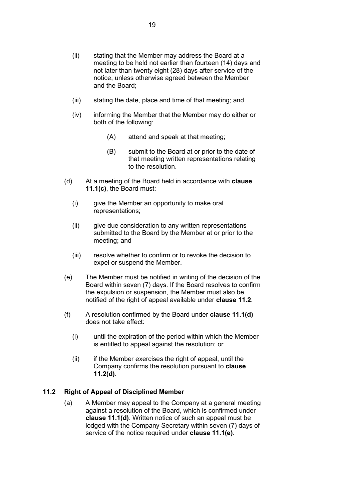- <span id="page-22-1"></span>(ii) stating that the Member may address the Board at a meeting to be held not earlier than fourteen (14) days and not later than twenty eight (28) days after service of the notice, unless otherwise agreed between the Member and the Board;
- (iii) stating the date, place and time of that meeting; and
- (iv) informing the Member that the Member may do either or both of the following:
	- (A) attend and speak at that meeting;
	- (B) submit to the Board at or prior to the date of that meeting written representations relating to the resolution.
- <span id="page-22-2"></span>(d) At a meeting of the Board held in accordance with **clause [11.1\(c\)](#page-21-3)**, the Board must:
	- (i) give the Member an opportunity to make oral representations;
	- (ii) give due consideration to any written representations submitted to the Board by the Member at or prior to the meeting; and
	- (iii) resolve whether to confirm or to revoke the decision to expel or suspend the Member.
- <span id="page-22-3"></span>(e) The Member must be notified in writing of the decision of the Board within seven (7) days. If the Board resolves to confirm the expulsion or suspension, the Member must also be notified of the right of appeal available under **clause [11.2](#page-22-0)**.
- (f) A resolution confirmed by the Board under **clause [11.1\(d\)](#page-22-2)** does not take effect:
	- (i) until the expiration of the period within which the Member is entitled to appeal against the resolution; or
	- (ii) if the Member exercises the right of appeal, until the Company confirms the resolution pursuant to **clause [11.2\(d\)](#page-23-1)**.

#### <span id="page-22-0"></span>**11.2 Right of Appeal of Disciplined Member**

(a) A Member may appeal to the Company at a general meeting against a resolution of the Board, which is confirmed under **clause [11.1\(d\)](#page-22-2)**. Written notice of such an appeal must be lodged with the Company Secretary within seven (7) days of service of the notice required under **clause [11.1\(e\)](#page-22-3)**.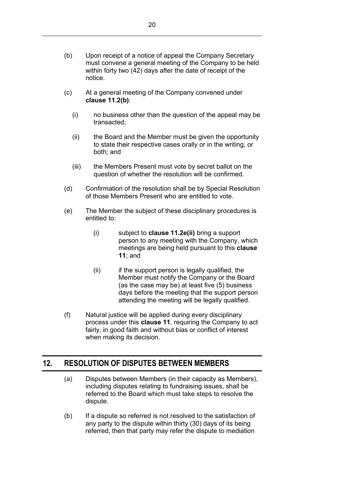- <span id="page-23-2"></span>(b) Upon receipt of a notice of appeal the Company Secretary must convene a general meeting of the Company to be held within forty two (42) days after the date of receipt of the notice.
- (c) At a general meeting of the Company convened under **clause [11.2\(b\)](#page-23-2)**:
	- (i) no business other than the question of the appeal may be transacted;
	- (ii) the Board and the Member must be given the opportunity to state their respective cases orally or in the writing, or both; and
	- (iii) the Members Present must vote by secret ballot on the question of whether the resolution will be confirmed.
- <span id="page-23-1"></span>(d) Confirmation of the resolution shall be by Special Resolution of those Members Present who are entitled to vote.
- (e) The Member the subject of these disciplinary procedures is entitled to:
	- (i) subject to **clause 11.2e(ii)** bring a support person to any meeting with the Company, which meetings are being held pursuant to this **clause 11**; and
	- (ii) if the support person is legally qualified, the Member must notify the Company or the Board (as the case may be) at least five (5) business days before the meeting that the support person attending the meeting will be legally qualified.
- (f) Natural justice will be applied during every disciplinary process under this **clause 11**, requiring the Company to act fairly, in good faith and without bias or conflict of interest when making its decision.

## <span id="page-23-0"></span>**12. RESOLUTION OF DISPUTES BETWEEN MEMBERS**

- (a) Disputes between Members (in their capacity as Members), including disputes relating to fundraising issues, shall be referred to the Board which must take steps to resolve the dispute.
- <span id="page-23-3"></span>(b) If a dispute so referred is not resolved to the satisfaction of any party to the dispute within thirty (30) days of its being referred, then that party may refer the dispute to mediation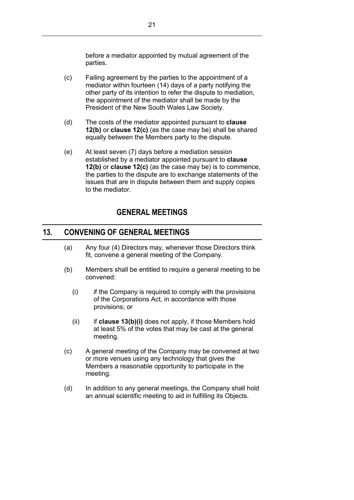before a mediator appointed by mutual agreement of the parties.

- <span id="page-24-2"></span>(c) Failing agreement by the parties to the appointment of a mediator within fourteen (14) days of a party notifying the other party of its intention to refer the dispute to mediation, the appointment of the mediator shall be made by the President of the New South Wales Law Society.
- (d) The costs of the mediator appointed pursuant to **clause [12\(b\)](#page-23-3)** or **clause [12\(c\)](#page-24-2)** (as the case may be) shall be shared equally between the Members party to the dispute.
- (e) At least seven (7) days before a mediation session established by a mediator appointed pursuant to **clause [12\(b\)](#page-23-3)** or **clause [12\(c\)](#page-24-2)** (as the case may be) is to commence, the parties to the dispute are to exchange statements of the issues that are in dispute between them and supply copies to the mediator.

## **GENERAL MEETINGS**

## <span id="page-24-1"></span><span id="page-24-0"></span>**13. CONVENING OF GENERAL MEETINGS**

- (a) Any four (4) Directors may, whenever those Directors think fit, convene a general meeting of the Company.
- <span id="page-24-3"></span>(b) Members shall be entitled to require a general meeting to be convened:
	- (i) if the Company is required to comply with the provisions of the Corporations Act, in accordance with those provisions; or
	- (ii) if **clause [13\(b\)\(i\)](#page-24-3)** does not apply, if those Members hold at least 5% of the votes that may be cast at the general meeting.
- (c) A general meeting of the Company may be convened at two or more venues using any technology that gives the Members a reasonable opportunity to participate in the meeting.
- (d) In addition to any general meetings, the Company shall hold an annual scientific meeting to aid in fulfilling its Objects.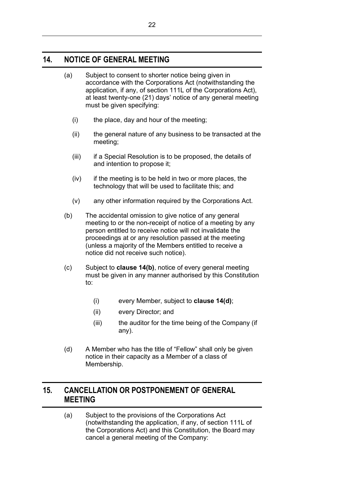## <span id="page-25-0"></span>**14. NOTICE OF GENERAL MEETING**

| (a) | Subject to consent to shorter notice being given in<br>accordance with the Corporations Act (notwithstanding the<br>application, if any, of section 111L of the Corporations Act), |
|-----|------------------------------------------------------------------------------------------------------------------------------------------------------------------------------------|
|     | at least twenty-one (21) days' notice of any general meeting<br>must be given specifying:                                                                                          |

- (i) the place, day and hour of the meeting;
- (ii) the general nature of any business to be transacted at the meeting;
- (iii) if a Special Resolution is to be proposed, the details of and intention to propose it;
- (iv) if the meeting is to be held in two or more places, the technology that will be used to facilitate this; and
- (v) any other information required by the Corporations Act.
- (b) The accidental omission to give notice of any general meeting to or the non-receipt of notice of a meeting by any person entitled to receive notice will not invalidate the proceedings at or any resolution passed at the meeting (unless a majority of the Members entitled to receive a notice did not receive such notice).
- (c) Subject to **clause 14(b)**, notice of every general meeting must be given in any manner authorised by this Constitution to:
	- (i) every Member, subject to **clause 14(d)**;
	- (ii) every Director; and
	- (iii) the auditor for the time being of the Company (if any).
- <span id="page-25-2"></span>(d) A Member who has the title of "Fellow" shall only be given notice in their capacity as a Member of a class of Membership.

## <span id="page-25-1"></span>**15. CANCELLATION OR POSTPONEMENT OF GENERAL MEETING**

(a) Subject to the provisions of the Corporations Act (notwithstanding the application, if any, of section 111L of the Corporations Act) and this Constitution, the Board may cancel a general meeting of the Company: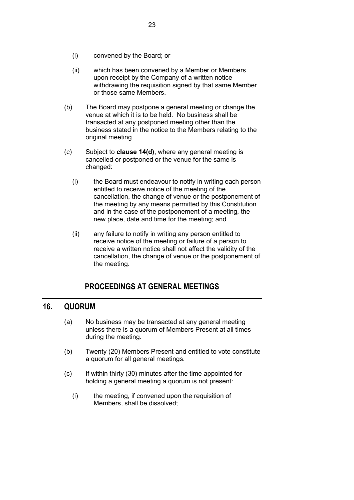- (ii) which has been convened by a Member or Members upon receipt by the Company of a written notice withdrawing the requisition signed by that same Member or those same Members.
- (b) The Board may postpone a general meeting or change the venue at which it is to be held. No business shall be transacted at any postponed meeting other than the business stated in the notice to the Members relating to the original meeting.
- (c) Subject to **clause [14\(d\)](#page-25-2)**, where any general meeting is cancelled or postponed or the venue for the same is changed:
	- (i) the Board must endeavour to notify in writing each person entitled to receive notice of the meeting of the cancellation, the change of venue or the postponement of the meeting by any means permitted by this Constitution and in the case of the postponement of a meeting, the new place, date and time for the meeting; and
	- (ii) any failure to notify in writing any person entitled to receive notice of the meeting or failure of a person to receive a written notice shall not affect the validity of the cancellation, the change of venue or the postponement of the meeting.

## **PROCEEDINGS AT GENERAL MEETINGS**

## <span id="page-26-1"></span><span id="page-26-0"></span>**16. QUORUM**

- (a) No business may be transacted at any general meeting unless there is a quorum of Members Present at all times during the meeting.
- (b) Twenty (20) Members Present and entitled to vote constitute a quorum for all general meetings.
- (c) If within thirty (30) minutes after the time appointed for holding a general meeting a quorum is not present:
	- (i) the meeting, if convened upon the requisition of Members, shall be dissolved;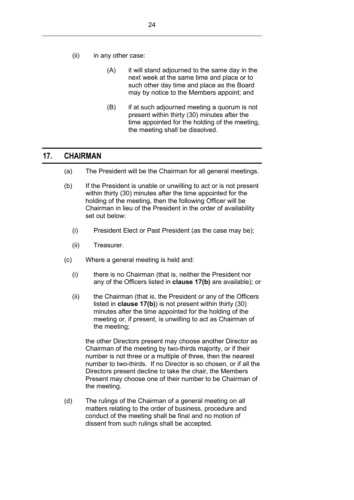- (ii) in any other case:
	- (A) it will stand adjourned to the same day in the next week at the same time and place or to such other day time and place as the Board may by notice to the Members appoint; and
	- (B) if at such adjourned meeting a quorum is not present within thirty (30) minutes after the time appointed for the holding of the meeting, the meeting shall be dissolved.

## <span id="page-27-0"></span>**17. CHAIRMAN**

- (a) The President will be the Chairman for all general meetings.
- <span id="page-27-1"></span>(b) If the President is unable or unwilling to act or is not present within thirty (30) minutes after the time appointed for the holding of the meeting, then the following Officer will be Chairman in lieu of the President in the order of availability set out below:
	- (i) President Elect or Past President (as the case may be);
	- (ii) Treasurer.
- (c) Where a general meeting is held and:
	- (i) there is no Chairman (that is, neither the President nor any of the Officers listed in **clause [17\(b\)](#page-27-1)** are available); or
	- (ii) the Chairman (that is, the President or any of the Officers listed in **clause [17\(b\)](#page-27-1)**) is not present within thirty (30) minutes after the time appointed for the holding of the meeting or, if present, is unwilling to act as Chairman of the meeting;

the other Directors present may choose another Director as Chairman of the meeting by two-thirds majority, or if their number is not three or a multiple of three, then the nearest number to two-thirds. If no Director is so chosen, or if all the Directors present decline to take the chair, the Members Present may choose one of their number to be Chairman of the meeting.

(d) The rulings of the Chairman of a general meeting on all matters relating to the order of business, procedure and conduct of the meeting shall be final and no motion of dissent from such rulings shall be accepted.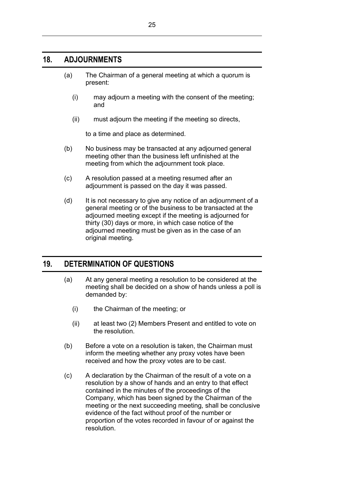## <span id="page-28-0"></span>**18. ADJOURNMENTS**

- (a) The Chairman of a general meeting at which a quorum is present:
	- (i) may adjourn a meeting with the consent of the meeting; and
	- (ii) must adjourn the meeting if the meeting so directs,

to a time and place as determined.

- (b) No business may be transacted at any adjourned general meeting other than the business left unfinished at the meeting from which the adjournment took place.
- (c) A resolution passed at a meeting resumed after an adjournment is passed on the day it was passed.
- (d) It is not necessary to give any notice of an adjournment of a general meeting or of the business to be transacted at the adjourned meeting except if the meeting is adjourned for thirty (30) days or more, in which case notice of the adjourned meeting must be given as in the case of an original meeting.

## <span id="page-28-1"></span>**19. DETERMINATION OF QUESTIONS**

- (a) At any general meeting a resolution to be considered at the meeting shall be decided on a show of hands unless a poll is demanded by:
	- (i) the Chairman of the meeting; or
	- (ii) at least two (2) Members Present and entitled to vote on the resolution.
- (b) Before a vote on a resolution is taken, the Chairman must inform the meeting whether any proxy votes have been received and how the proxy votes are to be cast.
- (c) A declaration by the Chairman of the result of a vote on a resolution by a show of hands and an entry to that effect contained in the minutes of the proceedings of the Company, which has been signed by the Chairman of the meeting or the next succeeding meeting, shall be conclusive evidence of the fact without proof of the number or proportion of the votes recorded in favour of or against the resolution.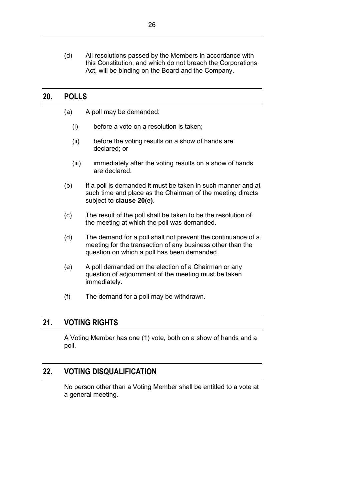## <span id="page-29-0"></span>**20. POLLS**

- (a) A poll may be demanded:
	- (i) before a vote on a resolution is taken;
	- (ii) before the voting results on a show of hands are declared; or
	- (iii) immediately after the voting results on a show of hands are declared.
- (b) If a poll is demanded it must be taken in such manner and at such time and place as the Chairman of the meeting directs subject to **clause [20\(e\)](#page-29-3)**.
- (c) The result of the poll shall be taken to be the resolution of the meeting at which the poll was demanded.
- (d) The demand for a poll shall not prevent the continuance of a meeting for the transaction of any business other than the question on which a poll has been demanded.
- <span id="page-29-3"></span>(e) A poll demanded on the election of a Chairman or any question of adjournment of the meeting must be taken immediately.
- (f) The demand for a poll may be withdrawn.

## <span id="page-29-1"></span>**21. VOTING RIGHTS**

A Voting Member has one (1) vote, both on a show of hands and a poll.

## <span id="page-29-2"></span>**22. VOTING DISQUALIFICATION**

No person other than a Voting Member shall be entitled to a vote at a general meeting.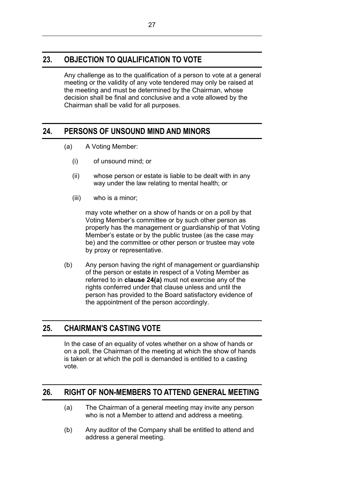## <span id="page-30-0"></span>**23. OBJECTION TO QUALIFICATION TO VOTE**

Any challenge as to the qualification of a person to vote at a general meeting or the validity of any vote tendered may only be raised at the meeting and must be determined by the Chairman, whose decision shall be final and conclusive and a vote allowed by the Chairman shall be valid for all purposes.

## <span id="page-30-4"></span><span id="page-30-1"></span>**24. PERSONS OF UNSOUND MIND AND MINORS**

- (a) A Voting Member:
	- (i) of unsound mind; or
	- (ii) whose person or estate is liable to be dealt with in any way under the law relating to mental health; or
	- (iii) who is a minor;

may vote whether on a show of hands or on a poll by that Voting Member's committee or by such other person as properly has the management or guardianship of that Voting Member's estate or by the public trustee (as the case may be) and the committee or other person or trustee may vote by proxy or representative.

(b) Any person having the right of management or guardianship of the person or estate in respect of a Voting Member as referred to in **clause [24\(a\)](#page-30-4)** must not exercise any of the rights conferred under that clause unless and until the person has provided to the Board satisfactory evidence of the appointment of the person accordingly.

## <span id="page-30-2"></span>**25. CHAIRMAN'S CASTING VOTE**

In the case of an equality of votes whether on a show of hands or on a poll, the Chairman of the meeting at which the show of hands is taken or at which the poll is demanded is entitled to a casting vote.

## <span id="page-30-3"></span>**26. RIGHT OF NON-MEMBERS TO ATTEND GENERAL MEETING**

- (a) The Chairman of a general meeting may invite any person who is not a Member to attend and address a meeting.
- (b) Any auditor of the Company shall be entitled to attend and address a general meeting.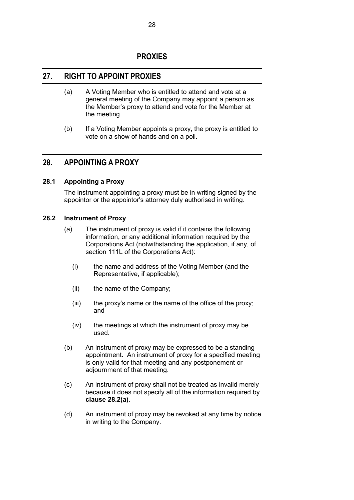## **PROXIES**

## <span id="page-31-1"></span><span id="page-31-0"></span>**27. RIGHT TO APPOINT PROXIES**

- (a) A Voting Member who is entitled to attend and vote at a general meeting of the Company may appoint a person as the Member's proxy to attend and vote for the Member at the meeting.
- (b) If a Voting Member appoints a proxy, the proxy is entitled to vote on a show of hands and on a poll.

## <span id="page-31-2"></span>**28. APPOINTING A PROXY**

## <span id="page-31-3"></span>**28.1 Appointing a Proxy**

The instrument appointing a proxy must be in writing signed by the appointor or the appointor's attorney duly authorised in writing.

### <span id="page-31-5"></span><span id="page-31-4"></span>**28.2 Instrument of Proxy**

- (a) The instrument of proxy is valid if it contains the following information, or any additional information required by the Corporations Act (notwithstanding the application, if any, of section 111L of the Corporations Act):
	- (i) the name and address of the Voting Member (and the Representative, if applicable);
	- (ii) the name of the Company;
	- (iii) the proxy's name or the name of the office of the proxy; and
	- (iv) the meetings at which the instrument of proxy may be used.
- (b) An instrument of proxy may be expressed to be a standing appointment. An instrument of proxy for a specified meeting is only valid for that meeting and any postponement or adjournment of that meeting.
- (c) An instrument of proxy shall not be treated as invalid merely because it does not specify all of the information required by **clause [28.2\(a\)](#page-31-5)**.
- (d) An instrument of proxy may be revoked at any time by notice in writing to the Company.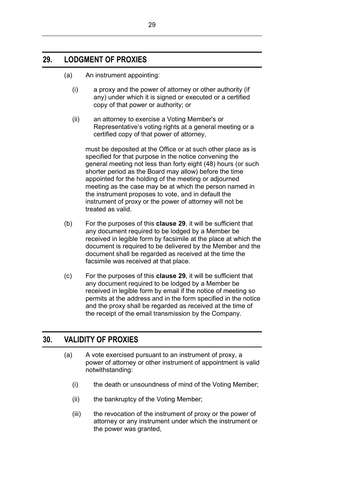## <span id="page-32-0"></span>**29. LODGMENT OF PROXIES**

- (a) An instrument appointing:
	- (i) a proxy and the power of attorney or other authority (if any) under which it is signed or executed or a certified copy of that power or authority; or
	- (ii) an attorney to exercise a Voting Member's or Representative's voting rights at a general meeting or a certified copy of that power of attorney,

must be deposited at the Office or at such other place as is specified for that purpose in the notice convening the general meeting not less than forty eight (48) hours (or such shorter period as the Board may allow) before the time appointed for the holding of the meeting or adjourned meeting as the case may be at which the person named in the instrument proposes to vote, and in default the instrument of proxy or the power of attorney will not be treated as valid.

- (b) For the purposes of this **clause [29](#page-32-0)**, it will be sufficient that any document required to be lodged by a Member be received in legible form by facsimile at the place at which the document is required to be delivered by the Member and the document shall be regarded as received at the time the facsimile was received at that place.
- (c) For the purposes of this **clause [29](#page-32-0)**, it will be sufficient that any document required to be lodged by a Member be received in legible form by email if the notice of meeting so permits at the address and in the form specified in the notice and the proxy shall be regarded as received at the time of the receipt of the email transmission by the Company.

## <span id="page-32-1"></span>**30. VALIDITY OF PROXIES**

- (a) A vote exercised pursuant to an instrument of proxy, a power of attorney or other instrument of appointment is valid notwithstanding:
	- (i) the death or unsoundness of mind of the Voting Member;
	- (ii) the bankruptcy of the Voting Member;
	- (iii) the revocation of the instrument of proxy or the power of attorney or any instrument under which the instrument or the power was granted,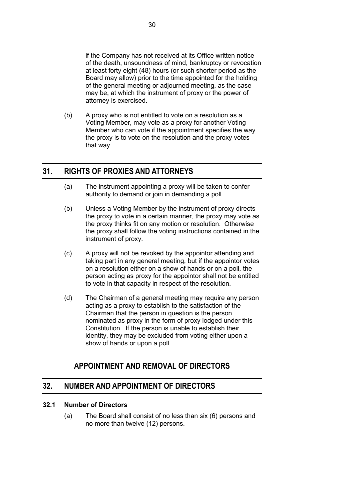if the Company has not received at its Office written notice of the death, unsoundness of mind, bankruptcy or revocation at least forty eight (48) hours (or such shorter period as the Board may allow) prior to the time appointed for the holding of the general meeting or adjourned meeting, as the case may be, at which the instrument of proxy or the power of attorney is exercised.

(b) A proxy who is not entitled to vote on a resolution as a Voting Member, may vote as a proxy for another Voting Member who can vote if the appointment specifies the way the proxy is to vote on the resolution and the proxy votes that way.

## <span id="page-33-0"></span>**31. RIGHTS OF PROXIES AND ATTORNEYS**

- (a) The instrument appointing a proxy will be taken to confer authority to demand or join in demanding a poll.
- (b) Unless a Voting Member by the instrument of proxy directs the proxy to vote in a certain manner, the proxy may vote as the proxy thinks fit on any motion or resolution. Otherwise the proxy shall follow the voting instructions contained in the instrument of proxy.
- (c) A proxy will not be revoked by the appointor attending and taking part in any general meeting, but if the appointor votes on a resolution either on a show of hands or on a poll, the person acting as proxy for the appointor shall not be entitled to vote in that capacity in respect of the resolution.
- (d) The Chairman of a general meeting may require any person acting as a proxy to establish to the satisfaction of the Chairman that the person in question is the person nominated as proxy in the form of proxy lodged under this Constitution. If the person is unable to establish their identity, they may be excluded from voting either upon a show of hands or upon a poll.

## **APPOINTMENT AND REMOVAL OF DIRECTORS**

## <span id="page-33-2"></span><span id="page-33-1"></span>**32. NUMBER AND APPOINTMENT OF DIRECTORS**

#### <span id="page-33-4"></span><span id="page-33-3"></span>**32.1 Number of Directors**

(a) The Board shall consist of no less than six (6) persons and no more than twelve (12) persons.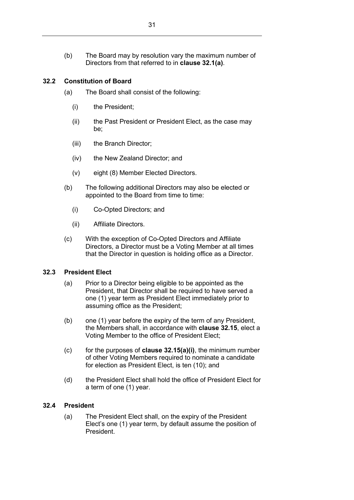(b) The Board may by resolution vary the maximum number of Directors from that referred to in **clause [32.1\(a\)](#page-33-4)**.

## <span id="page-34-0"></span>**32.2 Constitution of Board**

- (a) The Board shall consist of the following:
	- (i) the President;
	- (ii) the Past President or President Elect, as the case may be;
	- (iii) the Branch Director;
	- (iv) the New Zealand Director; and
	- (v) eight (8) Member Elected Directors.
- (b) The following additional Directors may also be elected or appointed to the Board from time to time:
	- (i) Co-Opted Directors; and
	- (ii) Affiliate Directors.
- (c) With the exception of Co-Opted Directors and Affiliate Directors, a Director must be a Voting Member at all times that the Director in question is holding office as a Director.

#### <span id="page-34-1"></span>**32.3 President Elect**

- (a) Prior to a Director being eligible to be appointed as the President, that Director shall be required to have served a one (1) year term as President Elect immediately prior to assuming office as the President;
- (b) one (1) year before the expiry of the term of any President, the Members shall, in accordance with **clause [32.15](#page-38-0)**, elect a Voting Member to the office of President Elect;
- (c) for the purposes of **clause [32.15\(a\)\(i\)](#page-38-2)**, the minimum number of other Voting Members required to nominate a candidate for election as President Elect, is ten (10); and
- (d) the President Elect shall hold the office of President Elect for a term of one (1) year.

#### <span id="page-34-2"></span>**32.4 President**

(a) The President Elect shall, on the expiry of the President Elect's one (1) year term, by default assume the position of President.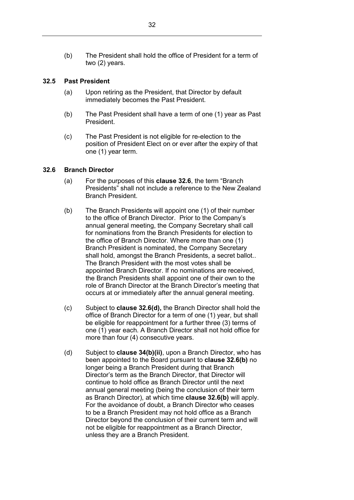#### <span id="page-35-0"></span>**32.5 Past President**

- (a) Upon retiring as the President, that Director by default immediately becomes the Past President.
- (b) The Past President shall have a term of one (1) year as Past President.
- (c) The Past President is not eligible for re-election to the position of President Elect on or ever after the expiry of that one (1) year term.

#### <span id="page-35-1"></span>**32.6 Branch Director**

- (a) For the purposes of this **clause [32.6](#page-35-1)**, the term "Branch Presidents" shall not include a reference to the New Zealand Branch President.
- <span id="page-35-2"></span>(b) The Branch Presidents will appoint one (1) of their number to the office of Branch Director. Prior to the Company's annual general meeting, the Company Secretary shall call for nominations from the Branch Presidents for election to the office of Branch Director. Where more than one (1) Branch President is nominated, the Company Secretary shall hold, amongst the Branch Presidents, a secret ballot.. The Branch President with the most votes shall be appointed Branch Director. If no nominations are received, the Branch Presidents shall appoint one of their own to the role of Branch Director at the Branch Director's meeting that occurs at or immediately after the annual general meeting.
- (c) Subject to **clause 32.6(d),** the Branch Director shall hold the office of Branch Director for a term of one (1) year, but shall be eligible for reappointment for a further three (3) terms of one (1) year each. A Branch Director shall not hold office for more than four (4) consecutive years.
- (d) Subject to **clause [34\(b\)\(ii\)](#page-40-3)**, upon a Branch Director, who has been appointed to the Board pursuant to **clause [32.6\(b\)](#page-35-2)** no longer being a Branch President during that Branch Director's term as the Branch Director, that Director will continue to hold office as Branch Director until the next annual general meeting (being the conclusion of their term as Branch Director), at which time **clause [32.6\(b\)](#page-35-2)** will apply. For the avoidance of doubt, a Branch Director who ceases to be a Branch President may not hold office as a Branch Director beyond the conclusion of their current term and will not be eligible for reappointment as a Branch Director, unless they are a Branch President.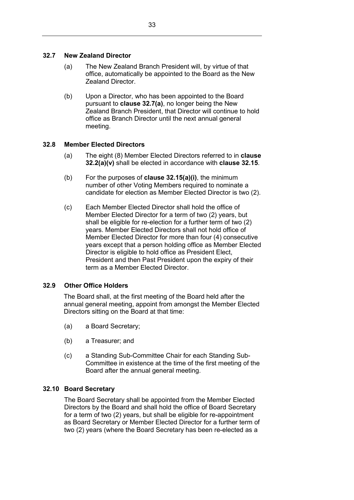### <span id="page-36-0"></span>**32.7 New Zealand Director**

- (a) The New Zealand Branch President will, by virtue of that office, automatically be appointed to the Board as the New Zealand Director.
- (b) Upon a Director, who has been appointed to the Board pursuant to **clause [32.7\(a\)](#page-36-0)**, no longer being the New Zealand Branch President, that Director will continue to hold office as Branch Director until the next annual general meeting.

### **32.8 Member Elected Directors**

- (a) The eight (8) Member Elected Directors referred to in **clause [32.2\(a\)\(v\)](#page-34-0)** shall be elected in accordance with **clause [32.15](#page-38-0)**.
- (b) For the purposes of **clause [32.15\(a\)\(i\)](#page-38-1)**, the minimum number of other Voting Members required to nominate a candidate for election as Member Elected Director is two (2).
- (c) Each Member Elected Director shall hold the office of Member Elected Director for a term of two (2) years, but shall be eligible for re-election for a further term of two (2) years. Member Elected Directors shall not hold office of Member Elected Director for more than four (4) consecutive years except that a person holding office as Member Elected Director is eligible to hold office as President Elect, President and then Past President upon the expiry of their term as a Member Elected Director.

### **32.9 Other Office Holders**

The Board shall, at the first meeting of the Board held after the annual general meeting, appoint from amongst the Member Elected Directors sitting on the Board at that time:

- (a) a Board Secretary;
- (b) a Treasurer; and
- (c) a Standing Sub-Committee Chair for each Standing Sub-Committee in existence at the time of the first meeting of the Board after the annual general meeting.

### **32.10 Board Secretary**

The Board Secretary shall be appointed from the Member Elected Directors by the Board and shall hold the office of Board Secretary for a term of two (2) years, but shall be eligible for re-appointment as Board Secretary or Member Elected Director for a further term of two (2) years (where the Board Secretary has been re-elected as a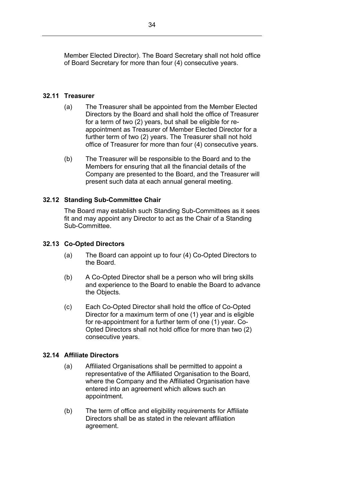Member Elected Director). The Board Secretary shall not hold office of Board Secretary for more than four (4) consecutive years.

### **32.11 Treasurer**

- (a) The Treasurer shall be appointed from the Member Elected Directors by the Board and shall hold the office of Treasurer for a term of two (2) years, but shall be eligible for reappointment as Treasurer of Member Elected Director for a further term of two (2) years. The Treasurer shall not hold office of Treasurer for more than four (4) consecutive years.
- (b) The Treasurer will be responsible to the Board and to the Members for ensuring that all the financial details of the Company are presented to the Board, and the Treasurer will present such data at each annual general meeting.

### **32.12 Standing Sub-Committee Chair**

The Board may establish such Standing Sub-Committees as it sees fit and may appoint any Director to act as the Chair of a Standing Sub-Committee.

### **32.13 Co-Opted Directors**

- (a) The Board can appoint up to four (4) Co-Opted Directors to the Board.
- (b) A Co-Opted Director shall be a person who will bring skills and experience to the Board to enable the Board to advance the Objects.
- (c) Each Co-Opted Director shall hold the office of Co-Opted Director for a maximum term of one (1) year and is eligible for re-appointment for a further term of one (1) year. Co-Opted Directors shall not hold office for more than two (2) consecutive years.

### **32.14 Affiliate Directors**

- (a) Affiliated Organisations shall be permitted to appoint a representative of the Affiliated Organisation to the Board, where the Company and the Affiliated Organisation have entered into an agreement which allows such an appointment.
- (b) The term of office and eligibility requirements for Affiliate Directors shall be as stated in the relevant affiliation agreement.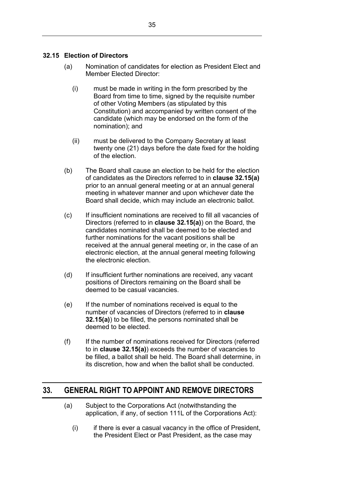### <span id="page-38-2"></span><span id="page-38-0"></span>**32.15 Election of Directors**

- <span id="page-38-1"></span>(a) Nomination of candidates for election as President Elect and Member Elected Director:
	- (i) must be made in writing in the form prescribed by the Board from time to time, signed by the requisite number of other Voting Members (as stipulated by this Constitution) and accompanied by written consent of the candidate (which may be endorsed on the form of the nomination); and
	- (ii) must be delivered to the Company Secretary at least twenty one (21) days before the date fixed for the holding of the election.
- (b) The Board shall cause an election to be held for the election of candidates as the Directors referred to in **clause [32.15\(a\)](#page-38-2)** prior to an annual general meeting or at an annual general meeting in whatever manner and upon whichever date the Board shall decide, which may include an electronic ballot.
- (c) If insufficient nominations are received to fill all vacancies of Directors (referred to in **clause [32.15\(a\)](#page-38-2)**) on the Board, the candidates nominated shall be deemed to be elected and further nominations for the vacant positions shall be received at the annual general meeting or, in the case of an electronic election, at the annual general meeting following the electronic election.
- (d) If insufficient further nominations are received, any vacant positions of Directors remaining on the Board shall be deemed to be casual vacancies.
- (e) If the number of nominations received is equal to the number of vacancies of Directors (referred to in **clause [32.15\(a\)](#page-38-2)**) to be filled, the persons nominated shall be deemed to be elected.
- (f) If the number of nominations received for Directors (referred to in **clause [32.15\(a\)](#page-38-2)**) exceeds the number of vacancies to be filled, a ballot shall be held. The Board shall determine, in its discretion, how and when the ballot shall be conducted.

## **33. GENERAL RIGHT TO APPOINT AND REMOVE DIRECTORS**

- (a) Subject to the Corporations Act (notwithstanding the application, if any, of section 111L of the Corporations Act):
	- $(i)$  if there is ever a casual vacancy in the office of President, the President Elect or Past President, as the case may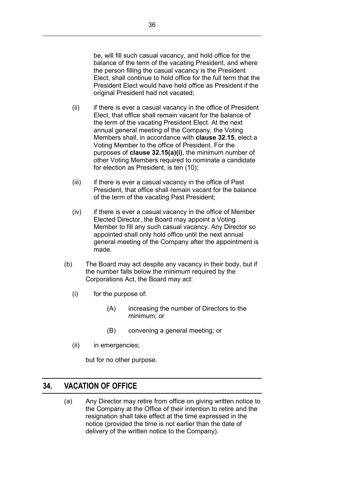be, will fill such casual vacancy, and hold office for the balance of the term of the vacating President, and where the person filling the casual vacancy is the President Elect, shall continue to hold office for the full term that the President Elect would have held office as President if the original President had not vacated;

- (ii) if there is ever a casual vacancy in the office of President Elect, that office shall remain vacant for the balance of the term of the vacating President Elect. At the next annual general meeting of the Company, the Voting Members shall, in accordance with **clause [32.15](#page-38-0)**, elect a Voting Member to the office of President. For the purposes of **clause [32.15\(a\)\(i\)](#page-38-1)**, the minimum number of other Voting Members required to nominate a candidate for election as President, is ten (10);
- (iii) if there is ever a casual vacancy in the office of Past President, that office shall remain vacant for the balance of the term of the vacating Past President;
- (iv) if there is ever a casual vacancy in the office of Member Elected Director, the Board may appoint a Voting Member to fill any such casual vacancy. Any Director so appointed shall only hold office until the next annual general meeting of the Company after the appointment is made.
- (b) The Board may act despite any vacancy in their body, but if the number falls below the minimum required by the Corporations Act, the Board may act:
	- (i) for the purpose of:
		- (A) increasing the number of Directors to the minimum; or
		- (B) convening a general meeting; or
	- (ii) in emergencies;

but for no other purpose.

## **34. VACATION OF OFFICE**

(a) Any Director may retire from office on giving written notice to the Company at the Office of their intention to retire and the resignation shall take effect at the time expressed in the notice (provided the time is not earlier than the date of delivery of the written notice to the Company).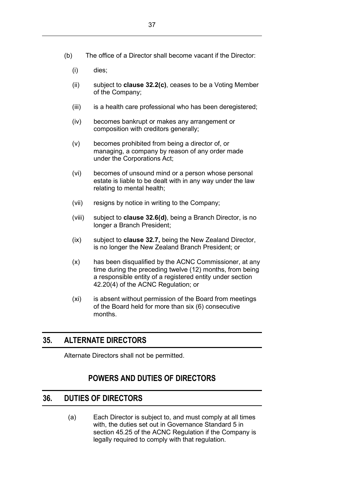- (b) The office of a Director shall become vacant if the Director:
	- (i) dies;
	- (ii) subject to **clause [32.2\(c\)](#page-34-1)**, ceases to be a Voting Member of the Company;
	- (iii) is a health care professional who has been deregistered;
	- (iv) becomes bankrupt or makes any arrangement or composition with creditors generally;
	- (v) becomes prohibited from being a director of, or managing, a company by reason of any order made under the Corporations Act;
	- (vi) becomes of unsound mind or a person whose personal estate is liable to be dealt with in any way under the law relating to mental health;
	- (vii) resigns by notice in writing to the Company;
	- (viii) subject to **clause [32.6\(d\)](#page-35-0)**, being a Branch Director, is no longer a Branch President;
	- (ix) subject to **clause 32.7,** being the New Zealand Director, is no longer the New Zealand Branch President; or
	- (x) has been disqualified by the ACNC Commissioner, at any time during the preceding twelve (12) months, from being a responsible entity of a registered entity under section 42.20(4) of the ACNC Regulation; or
	- (xi) is absent without permission of the Board from meetings of the Board held for more than six (6) consecutive months.

## **35. ALTERNATE DIRECTORS**

Alternate Directors shall not be permitted.

# **POWERS AND DUTIES OF DIRECTORS**

## **36. DUTIES OF DIRECTORS**

(a) Each Director is subject to, and must comply at all times with, the duties set out in Governance Standard 5 in section 45.25 of the ACNC Regulation if the Company is legally required to comply with that regulation.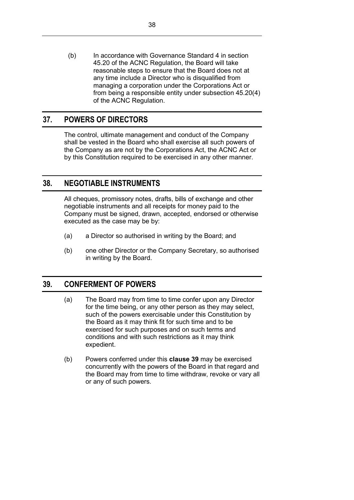(b) In accordance with Governance Standard 4 in section 45.20 of the ACNC Regulation, the Board will take reasonable steps to ensure that the Board does not at any time include a Director who is disqualified from managing a corporation under the Corporations Act or from being a responsible entity under subsection 45.20(4) of the ACNC Regulation.

# **37. POWERS OF DIRECTORS**

The control, ultimate management and conduct of the Company shall be vested in the Board who shall exercise all such powers of the Company as are not by the Corporations Act, the ACNC Act or by this Constitution required to be exercised in any other manner.

## **38. NEGOTIABLE INSTRUMENTS**

All cheques, promissory notes, drafts, bills of exchange and other negotiable instruments and all receipts for money paid to the Company must be signed, drawn, accepted, endorsed or otherwise executed as the case may be by:

- (a) a Director so authorised in writing by the Board; and
- (b) one other Director or the Company Secretary, so authorised in writing by the Board.

## <span id="page-41-0"></span>**39. CONFERMENT OF POWERS**

- (a) The Board may from time to time confer upon any Director for the time being, or any other person as they may select, such of the powers exercisable under this Constitution by the Board as it may think fit for such time and to be exercised for such purposes and on such terms and conditions and with such restrictions as it may think expedient.
- (b) Powers conferred under this **clause [39](#page-41-0)** may be exercised concurrently with the powers of the Board in that regard and the Board may from time to time withdraw, revoke or vary all or any of such powers.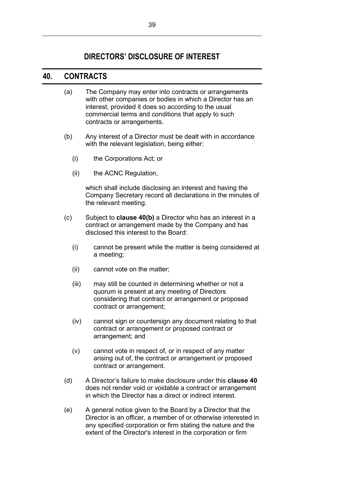# **DIRECTORS' DISCLOSURE OF INTEREST**

## **40. CONTRACTS**

- (a) The Company may enter into contracts or arrangements with other companies or bodies in which a Director has an interest, provided it does so according to the usual commercial terms and conditions that apply to such contracts or arrangements.
- <span id="page-42-0"></span>(b) Any interest of a Director must be dealt with in accordance with the relevant legislation, being either:
	- (i) the Corporations Act; or
	- (ii) the ACNC Regulation,

which shall include disclosing an interest and having the Company Secretary record all declarations in the minutes of the relevant meeting.

- (c) Subject to **clause [40\(b\)](#page-42-0)** a Director who has an interest in a contract or arrangement made by the Company and has disclosed this interest to the Board:
	- (i) cannot be present while the matter is being considered at a meeting;
	- (ii) cannot vote on the matter;
	- (iii) may still be counted in determining whether or not a quorum is present at any meeting of Directors considering that contract or arrangement or proposed contract or arrangement;
	- (iv) cannot sign or countersign any document relating to that contract or arrangement or proposed contract or arrangement; and
	- (v) cannot vote in respect of, or in respect of any matter arising out of, the contract or arrangement or proposed contract or arrangement.
- (d) A Director's failure to make disclosure under this **clause 40**  does not render void or voidable a contract or arrangement in which the Director has a direct or indirect interest.
- (e) A general notice given to the Board by a Director that the Director is an officer, a member of or otherwise interested in any specified corporation or firm stating the nature and the extent of the Director's interest in the corporation or firm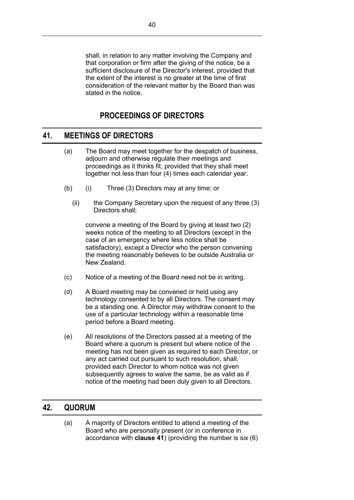shall, in relation to any matter involving the Company and that corporation or firm after the giving of the notice, be a sufficient disclosure of the Director's interest, provided that the extent of the interest is no greater at the time of first consideration of the relevant matter by the Board than was stated in the notice.

# **PROCEEDINGS OF DIRECTORS**

# **41. MEETINGS OF DIRECTORS**

- (a) The Board may meet together for the despatch of business, adjourn and otherwise regulate their meetings and proceedings as it thinks fit, provided that they shall meet together not less than four (4) times each calendar year.
- (b) (i) Three (3) Directors may at any time; or
	- (ii) the Company Secretary upon the request of any three (3) Directors shall;

convene a meeting of the Board by giving at least two (2) weeks notice of the meeting to all Directors (except in the case of an emergency where less notice shall be satisfactory), except a Director who the person convening the meeting reasonably believes to be outside Australia or New Zealand.

- (c) Notice of a meeting of the Board need not be in writing.
- (d) A Board meeting may be convened or held using any technology consented to by all Directors. The consent may be a standing one. A Director may withdraw consent to the use of a particular technology within a reasonable time period before a Board meeting.
- (e) All resolutions of the Directors passed at a meeting of the Board where a quorum is present but where notice of the meeting has not been given as required to each Director, or any act carried out pursuant to such resolution, shall, provided each Director to whom notice was not given subsequently agrees to waive the same, be as valid as if notice of the meeting had been duly given to all Directors.

# **42. QUORUM**

(a) A majority of Directors entitled to attend a meeting of the Board who are personally present (or in conference in accordance with **clause 41**) (providing the number is six (6)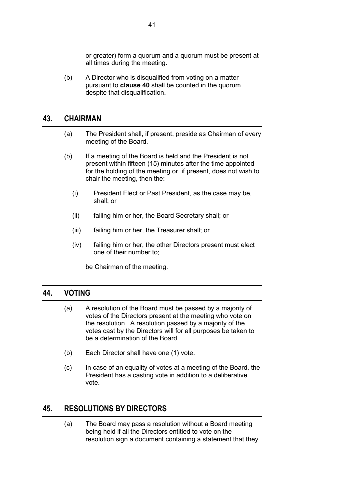or greater) form a quorum and a quorum must be present at all times during the meeting.

(b) A Director who is disqualified from voting on a matter pursuant to **clause 40** shall be counted in the quorum despite that disqualification.

## **43. CHAIRMAN**

- (a) The President shall, if present, preside as Chairman of every meeting of the Board.
- (b) If a meeting of the Board is held and the President is not present within fifteen (15) minutes after the time appointed for the holding of the meeting or, if present, does not wish to chair the meeting, then the:
	- (i) President Elect or Past President, as the case may be, shall; or
	- (ii) failing him or her, the Board Secretary shall; or
	- (iii) failing him or her, the Treasurer shall; or
	- (iv) failing him or her, the other Directors present must elect one of their number to;

be Chairman of the meeting.

## **44. VOTING**

- (a) A resolution of the Board must be passed by a majority of votes of the Directors present at the meeting who vote on the resolution. A resolution passed by a majority of the votes cast by the Directors will for all purposes be taken to be a determination of the Board.
- (b) Each Director shall have one (1) vote.
- (c) In case of an equality of votes at a meeting of the Board, the President has a casting vote in addition to a deliberative vote.

## <span id="page-44-0"></span>**45. RESOLUTIONS BY DIRECTORS**

(a) The Board may pass a resolution without a Board meeting being held if all the Directors entitled to vote on the resolution sign a document containing a statement that they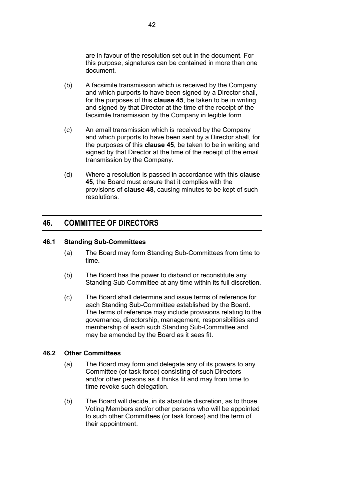are in favour of the resolution set out in the document. For this purpose, signatures can be contained in more than one document.

- (b) A facsimile transmission which is received by the Company and which purports to have been signed by a Director shall, for the purposes of this **clause [45](#page-44-0)**, be taken to be in writing and signed by that Director at the time of the receipt of the facsimile transmission by the Company in legible form.
- (c) An email transmission which is received by the Company and which purports to have been sent by a Director shall, for the purposes of this **clause [45](#page-44-0)**, be taken to be in writing and signed by that Director at the time of the receipt of the email transmission by the Company.
- (d) Where a resolution is passed in accordance with this **clause [45](#page-44-0)**, the Board must ensure that it complies with the provisions of **clause [48](#page-46-0)**, causing minutes to be kept of such resolutions.

# **46. COMMITTEE OF DIRECTORS**

### **46.1 Standing Sub-Committees**

- (a) The Board may form Standing Sub-Committees from time to time.
- (b) The Board has the power to disband or reconstitute any Standing Sub-Committee at any time within its full discretion.
- (c) The Board shall determine and issue terms of reference for each Standing Sub-Committee established by the Board. The terms of reference may include provisions relating to the governance, directorship, management, responsibilities and membership of each such Standing Sub-Committee and may be amended by the Board as it sees fit.

### **46.2 Other Committees**

- (a) The Board may form and delegate any of its powers to any Committee (or task force) consisting of such Directors and/or other persons as it thinks fit and may from time to time revoke such delegation.
- (b) The Board will decide, in its absolute discretion, as to those Voting Members and/or other persons who will be appointed to such other Committees (or task forces) and the term of their appointment.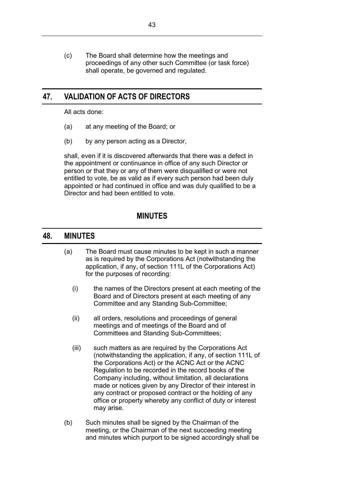(c) The Board shall determine how the meetings and proceedings of any other such Committee (or task force) shall operate, be governed and regulated.

# **47. VALIDATION OF ACTS OF DIRECTORS**

All acts done:

- (a) at any meeting of the Board; or
- (b) by any person acting as a Director,

shall, even if it is discovered afterwards that there was a defect in the appointment or continuance in office of any such Director or person or that they or any of them were disqualified or were not entitled to vote, be as valid as if every such person had been duly appointed or had continued in office and was duly qualified to be a Director and had been entitled to vote.

# **MINUTES**

## <span id="page-46-0"></span>**48. MINUTES**

- (a) The Board must cause minutes to be kept in such a manner as is required by the Corporations Act (notwithstanding the application, if any, of section 111L of the Corporations Act) for the purposes of recording:
	- (i) the names of the Directors present at each meeting of the Board and of Directors present at each meeting of any Committee and any Standing Sub-Committee;
	- (ii) all orders, resolutions and proceedings of general meetings and of meetings of the Board and of Committees and Standing Sub-Committees;
	- (iii) such matters as are required by the Corporations Act (notwithstanding the application, if any, of section 111L of the Corporations Act) or the ACNC Act or the ACNC Regulation to be recorded in the record books of the Company including, without limitation, all declarations made or notices given by any Director of their interest in any contract or proposed contract or the holding of any office or property whereby any conflict of duty or interest may arise.
- (b) Such minutes shall be signed by the Chairman of the meeting, or the Chairman of the next succeeding meeting and minutes which purport to be signed accordingly shall be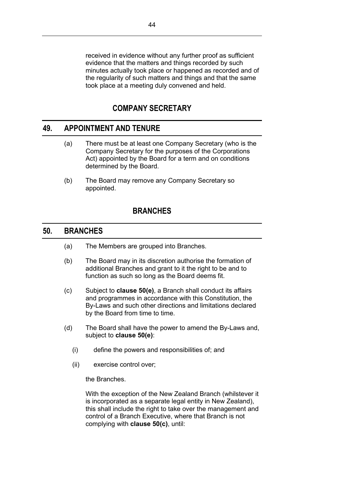received in evidence without any further proof as sufficient evidence that the matters and things recorded by such minutes actually took place or happened as recorded and of the regularity of such matters and things and that the same took place at a meeting duly convened and held.

## **COMPANY SECRETARY**

## **49. APPOINTMENT AND TENURE**

- (a) There must be at least one Company Secretary (who is the Company Secretary for the purposes of the Corporations Act) appointed by the Board for a term and on conditions determined by the Board.
- (b) The Board may remove any Company Secretary so appointed.

## **BRANCHES**

## **50. BRANCHES**

- (a) The Members are grouped into Branches.
- (b) The Board may in its discretion authorise the formation of additional Branches and grant to it the right to be and to function as such so long as the Board deems fit.
- <span id="page-47-0"></span>(c) Subject to **clause [50\(e\)](#page-48-0)**, a Branch shall conduct its affairs and programmes in accordance with this Constitution, the By-Laws and such other directions and limitations declared by the Board from time to time.
- (d) The Board shall have the power to amend the By-Laws and, subject to **clause [50\(e\)](#page-48-0)**:
	- (i) define the powers and responsibilities of; and
	- (ii) exercise control over;

the Branches.

With the exception of the New Zealand Branch (whilstever it is incorporated as a separate legal entity in New Zealand), this shall include the right to take over the management and control of a Branch Executive, where that Branch is not complying with **clause [50\(c\)](#page-47-0)**, until: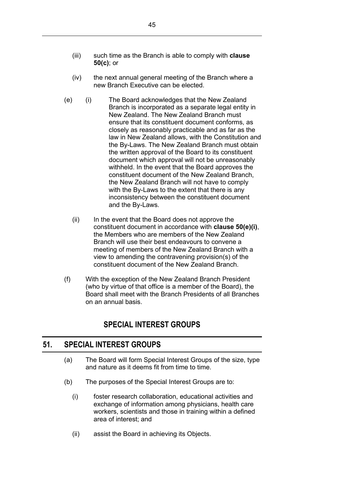- (iii) such time as the Branch is able to comply with **clause [50\(c\)](#page-47-0)**; or
- (iv) the next annual general meeting of the Branch where a new Branch Executive can be elected.
- <span id="page-48-1"></span><span id="page-48-0"></span>(e) (i) The Board acknowledges that the New Zealand Branch is incorporated as a separate legal entity in New Zealand. The New Zealand Branch must ensure that its constituent document conforms, as closely as reasonably practicable and as far as the law in New Zealand allows, with the Constitution and the By-Laws. The New Zealand Branch must obtain the written approval of the Board to its constituent document which approval will not be unreasonably withheld. In the event that the Board approves the constituent document of the New Zealand Branch, the New Zealand Branch will not have to comply with the By-Laws to the extent that there is any inconsistency between the constituent document and the By-Laws.
	- (ii) In the event that the Board does not approve the constituent document in accordance with **clause [50\(e\)\(i\)](#page-48-1)**, the Members who are members of the New Zealand Branch will use their best endeavours to convene a meeting of members of the New Zealand Branch with a view to amending the contravening provision(s) of the constituent document of the New Zealand Branch.
- (f) With the exception of the New Zealand Branch President (who by virtue of that office is a member of the Board), the Board shall meet with the Branch Presidents of all Branches on an annual basis.

# **SPECIAL INTEREST GROUPS**

## **51. SPECIAL INTEREST GROUPS**

- (a) The Board will form Special Interest Groups of the size, type and nature as it deems fit from time to time.
- (b) The purposes of the Special Interest Groups are to:
	- (i) foster research collaboration, educational activities and exchange of information among physicians, health care workers, scientists and those in training within a defined area of interest; and
	- (ii) assist the Board in achieving its Objects.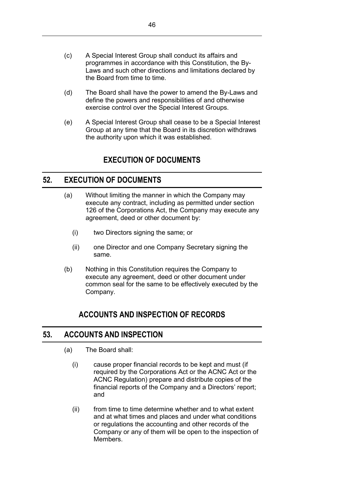- (c) A Special Interest Group shall conduct its affairs and programmes in accordance with this Constitution, the By-Laws and such other directions and limitations declared by the Board from time to time.
- (d) The Board shall have the power to amend the By-Laws and define the powers and responsibilities of and otherwise exercise control over the Special Interest Groups.
- (e) A Special Interest Group shall cease to be a Special Interest Group at any time that the Board in its discretion withdraws the authority upon which it was established.

# **EXECUTION OF DOCUMENTS**

## **52. EXECUTION OF DOCUMENTS**

- (a) Without limiting the manner in which the Company may execute any contract, including as permitted under section 126 of the Corporations Act, the Company may execute any agreement, deed or other document by:
	- (i) two Directors signing the same; or
	- (ii) one Director and one Company Secretary signing the same.
- (b) Nothing in this Constitution requires the Company to execute any agreement, deed or other document under common seal for the same to be effectively executed by the Company.

# **ACCOUNTS AND INSPECTION OF RECORDS**

## **53. ACCOUNTS AND INSPECTION**

- (a) The Board shall:
	- (i) cause proper financial records to be kept and must (if required by the Corporations Act or the ACNC Act or the ACNC Regulation) prepare and distribute copies of the financial reports of the Company and a Directors' report; and
	- (ii) from time to time determine whether and to what extent and at what times and places and under what conditions or regulations the accounting and other records of the Company or any of them will be open to the inspection of Members.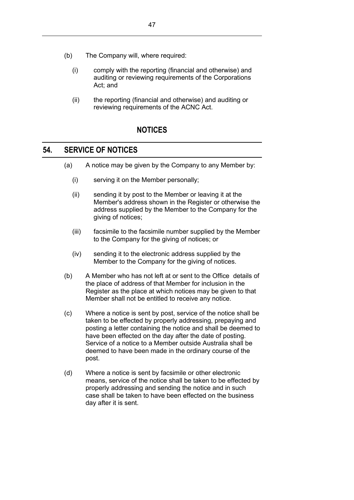- (b) The Company will, where required:
	- (i) comply with the reporting (financial and otherwise) and auditing or reviewing requirements of the Corporations Act; and
	- (ii) the reporting (financial and otherwise) and auditing or reviewing requirements of the ACNC Act.

# **NOTICES**

## **54. SERVICE OF NOTICES**

- (a) A notice may be given by the Company to any Member by:
	- (i) serving it on the Member personally;
	- (ii) sending it by post to the Member or leaving it at the Member's address shown in the Register or otherwise the address supplied by the Member to the Company for the giving of notices;
	- (iii) facsimile to the facsimile number supplied by the Member to the Company for the giving of notices; or
	- (iv) sending it to the electronic address supplied by the Member to the Company for the giving of notices.
- <span id="page-50-0"></span>(b) A Member who has not left at or sent to the Office details of the place of address of that Member for inclusion in the Register as the place at which notices may be given to that Member shall not be entitled to receive any notice.
- (c) Where a notice is sent by post, service of the notice shall be taken to be effected by properly addressing, prepaying and posting a letter containing the notice and shall be deemed to have been effected on the day after the date of posting. Service of a notice to a Member outside Australia shall be deemed to have been made in the ordinary course of the post.
- (d) Where a notice is sent by facsimile or other electronic means, service of the notice shall be taken to be effected by properly addressing and sending the notice and in such case shall be taken to have been effected on the business day after it is sent.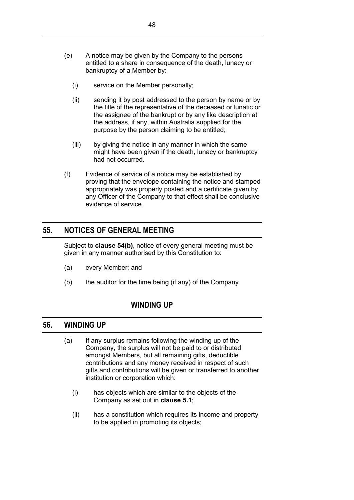- (e) A notice may be given by the Company to the persons entitled to a share in consequence of the death, lunacy or bankruptcy of a Member by:
	- (i) service on the Member personally;
	- (ii) sending it by post addressed to the person by name or by the title of the representative of the deceased or lunatic or the assignee of the bankrupt or by any like description at the address, if any, within Australia supplied for the purpose by the person claiming to be entitled;
	- (iii) by giving the notice in any manner in which the same might have been given if the death, lunacy or bankruptcy had not occurred.
- (f) Evidence of service of a notice may be established by proving that the envelope containing the notice and stamped appropriately was properly posted and a certificate given by any Officer of the Company to that effect shall be conclusive evidence of service.

# **55. NOTICES OF GENERAL MEETING**

Subject to **clause [54\(b\)](#page-50-0)**, notice of every general meeting must be given in any manner authorised by this Constitution to:

- (a) every Member; and
- (b) the auditor for the time being (if any) of the Company.

## **WINDING UP**

## <span id="page-51-0"></span>**56. WINDING UP**

- (a) If any surplus remains following the winding up of the Company, the surplus will not be paid to or distributed amongst Members, but all remaining gifts, deductible contributions and any money received in respect of such gifts and contributions will be given or transferred to another institution or corporation which:
	- (i) has objects which are similar to the objects of the Company as set out in **clause [5.1](#page-9-0)**;
	- (ii) has a constitution which requires its income and property to be applied in promoting its objects;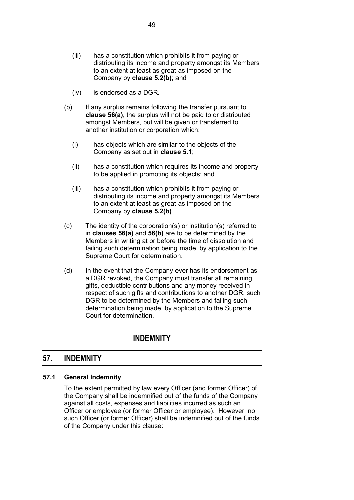- (iii) has a constitution which prohibits it from paying or distributing its income and property amongst its Members to an extent at least as great as imposed on the Company by **clause [5.2\(b\)](#page-11-0)**; and
- (iv) is endorsed as a DGR.
- <span id="page-52-0"></span>(b) If any surplus remains following the transfer pursuant to **clause [56\(a\)](#page-51-0)**, the surplus will not be paid to or distributed amongst Members, but will be given or transferred to another institution or corporation which:
	- (i) has objects which are similar to the objects of the Company as set out in **clause [5.1](#page-9-0)**;
	- (ii) has a constitution which requires its income and property to be applied in promoting its objects; and
	- (iii) has a constitution which prohibits it from paying or distributing its income and property amongst its Members to an extent at least as great as imposed on the Company by **clause [5.2\(b\)](#page-11-0)**.
- (c) The identity of the corporation(s) or institution(s) referred to in **clauses [56\(a\)](#page-51-0)** and **[56\(b\)](#page-52-0)** are to be determined by the Members in writing at or before the time of dissolution and failing such determination being made, by application to the Supreme Court for determination.
- (d) In the event that the Company ever has its endorsement as a DGR revoked, the Company must transfer all remaining gifts, deductible contributions and any money received in respect of such gifts and contributions to another DGR, such DGR to be determined by the Members and failing such determination being made, by application to the Supreme Court for determination.

## **INDEMNITY**

## <span id="page-52-1"></span>**57. INDEMNITY**

### **57.1 General Indemnity**

To the extent permitted by law every Officer (and former Officer) of the Company shall be indemnified out of the funds of the Company against all costs, expenses and liabilities incurred as such an Officer or employee (or former Officer or employee). However, no such Officer (or former Officer) shall be indemnified out of the funds of the Company under this clause: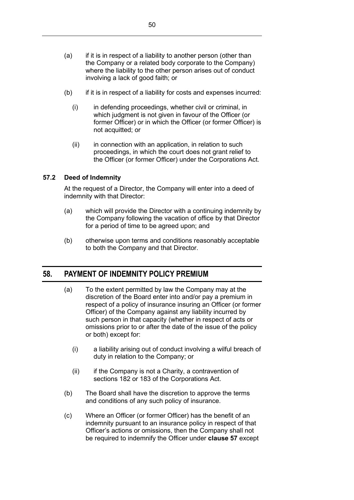- (a) if it is in respect of a liability to another person (other than the Company or a related body corporate to the Company) where the liability to the other person arises out of conduct involving a lack of good faith; or
- (b) if it is in respect of a liability for costs and expenses incurred:
	- (i) in defending proceedings, whether civil or criminal, in which judgment is not given in favour of the Officer (or former Officer) or in which the Officer (or former Officer) is not acquitted; or
	- $(ii)$  in connection with an application, in relation to such proceedings, in which the court does not grant relief to the Officer (or former Officer) under the Corporations Act.

### **57.2 Deed of Indemnity**

At the request of a Director, the Company will enter into a deed of indemnity with that Director:

- (a) which will provide the Director with a continuing indemnity by the Company following the vacation of office by that Director for a period of time to be agreed upon; and
- (b) otherwise upon terms and conditions reasonably acceptable to both the Company and that Director.

## <span id="page-53-0"></span>**58. PAYMENT OF INDEMNITY POLICY PREMIUM**

- (a) To the extent permitted by law the Company may at the discretion of the Board enter into and/or pay a premium in respect of a policy of insurance insuring an Officer (or former Officer) of the Company against any liability incurred by such person in that capacity (whether in respect of acts or omissions prior to or after the date of the issue of the policy or both) except for:
	- (i) a liability arising out of conduct involving a wilful breach of duty in relation to the Company; or
	- (ii) if the Company is not a Charity, a contravention of sections 182 or 183 of the Corporations Act.
- (b) The Board shall have the discretion to approve the terms and conditions of any such policy of insurance.
- (c) Where an Officer (or former Officer) has the benefit of an indemnity pursuant to an insurance policy in respect of that Officer's actions or omissions, then the Company shall not be required to indemnify the Officer under **clause [57](#page-52-1)** except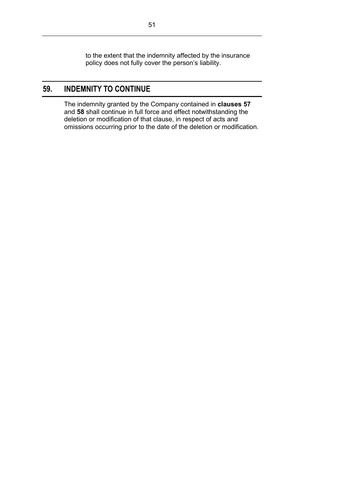to the extent that the indemnity affected by the insurance policy does not fully cover the person's liability.

# **59. INDEMNITY TO CONTINUE**

The indemnity granted by the Company contained in **clauses [57](#page-52-1)** and **[58](#page-53-0)** shall continue in full force and effect notwithstanding the deletion or modification of that clause, in respect of acts and omissions occurring prior to the date of the deletion or modification.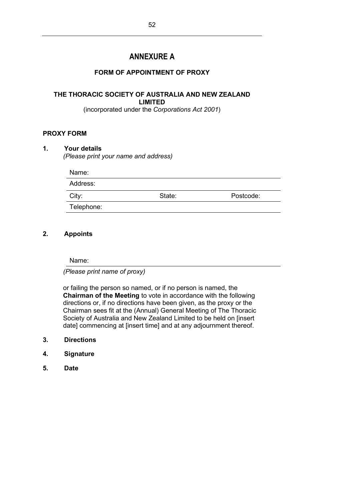# **ANNEXURE A**

## **FORM OF APPOINTMENT OF PROXY**

## **THE THORACIC SOCIETY OF AUSTRALIA AND NEW ZEALAND LIMITED**

(incorporated under the *Corporations Act 2001*)

## **PROXY FORM**

### **1. Your details**

*(Please print your name and address)*

| Name:      |        |           |
|------------|--------|-----------|
| Address:   |        |           |
| City:      | State: | Postcode: |
| Telephone: |        |           |

## **2. Appoints**

Name:

*(Please print name of proxy)*

or failing the person so named, or if no person is named, the **Chairman of the Meeting** to vote in accordance with the following directions or, if no directions have been given, as the proxy or the Chairman sees fit at the (Annual) General Meeting of The Thoracic Society of Australia and New Zealand Limited to be held on [insert date] commencing at [insert time] and at any adjournment thereof.

- **3. Directions**
- **4. Signature**
- **5. Date**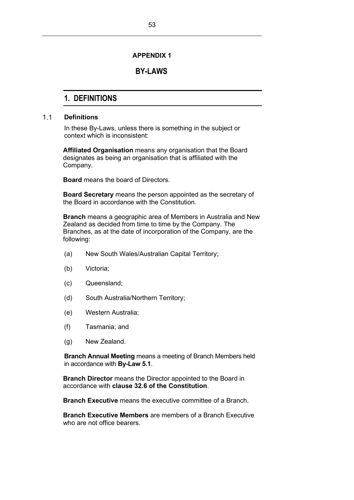### **APPENDIX 1**

## **BY-LAWS**

# **1. DEFINITIONS**

#### $1.1$ **Definitions**

In these By-Laws, unless there is something in the subject or context which is inconsistent:

**Affiliated Organisation** means any organisation that the Board designates as being an organisation that is affiliated with the Company.

**Board** means the board of Directors.

**Board Secretary** means the person appointed as the secretary of the Board in accordance with the Constitution.

**Branch** means a geographic area of Members in Australia and New Zealand as decided from time to time by the Company. The Branches, as at the date of incorporation of the Company, are the following:

- (a) New South Wales/Australian Capital Territory;
- (b) Victoria;
- (c) Queensland;
- (d) South Australia/Northern Territory;
- (e) Western Australia;
- (f) Tasmania; and
- (g) New Zealand.

**Branch Annual Meeting** means a meeting of Branch Members held in accordance with **By-Law [5.1](#page-70-0)**.

**Branch Director** means the Director appointed to the Board in accordance with **clause 32.6 of the Constitution**.

**Branch Executive** means the executive committee of a Branch.

**Branch Executive Members** are members of a Branch Executive who are not office bearers.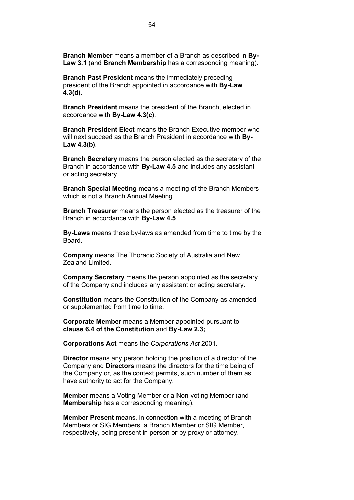**Branch Member** means a member of a Branch as described in **By-Law 3.1** (and **Branch Membership** has a corresponding meaning).

**Branch Past President** means the immediately preceding president of the Branch appointed in accordance with **By-Law [4.3\(](#page-63-0)d)**.

**Branch President** means the president of the Branch, elected in accordance with **By-Law [4.3\(](#page-63-0)c)**.

**Branch President Elect** means the Branch Executive member who will next succeed as the Branch President in accordance with **By-Law [4.3\(](#page-63-0)b)**.

**Branch Secretary** means the person elected as the secretary of the Branch in accordance with **By-Law [4.5](#page-67-0)** and includes any assistant or acting secretary.

**Branch Special Meeting** means a meeting of the Branch Members which is not a Branch Annual Meeting.

**Branch Treasurer** means the person elected as the treasurer of the Branch in accordance with **By-Law [4.5](#page-67-0)**.

**By-Laws** means these by-laws as amended from time to time by the Board.

**Company** means The Thoracic Society of Australia and New Zealand Limited.

**Company Secretary** means the person appointed as the secretary of the Company and includes any assistant or acting secretary.

**Constitution** means the Constitution of the Company as amended or supplemented from time to time.

**Corporate Member** means a Member appointed pursuant to **clause 6.4 of the Constitution** and **By-Law 2.3;**

**Corporations Act** means the *Corporations Act* 2001.

**Director** means any person holding the position of a director of the Company and **Directors** means the directors for the time being of the Company or, as the context permits, such number of them as have authority to act for the Company.

**Member** means a Voting Member or a Non-voting Member (and **Membership** has a corresponding meaning).

**Member Present** means, in connection with a meeting of Branch Members or SIG Members, a Branch Member or SIG Member, respectively, being present in person or by proxy or attorney.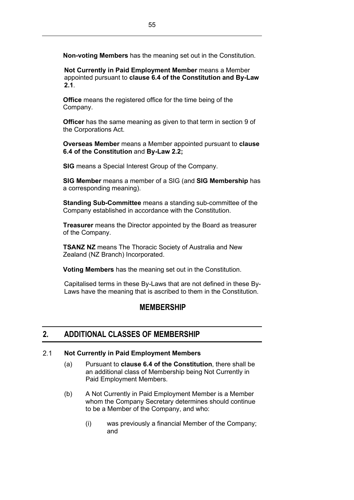**Non-voting Members** has the meaning set out in the Constitution.

**Not Currently in Paid Employment Member** means a Member appointed pursuant to **clause 6.4 of the Constitution and By-Law 2.1**.

**Office** means the registered office for the time being of the Company.

**Officer** has the same meaning as given to that term in section 9 of the Corporations Act.

**Overseas Member** means a Member appointed pursuant to **clause 6.4 of the Constitution** and **By-Law 2.2;**

**SIG** means a Special Interest Group of the Company.

**SIG Member** means a member of a SIG (and **SIG Membership** has a corresponding meaning).

**Standing Sub-Committee** means a standing sub-committee of the Company established in accordance with the Constitution.

**Treasurer** means the Director appointed by the Board as treasurer of the Company.

**TSANZ NZ** means The Thoracic Society of Australia and New Zealand (NZ Branch) Incorporated.

**Voting Members** has the meaning set out in the Constitution.

Capitalised terms in these By-Laws that are not defined in these By-Laws have the meaning that is ascribed to them in the Constitution.

## **MEMBERSHIP**

# **2. ADDITIONAL CLASSES OF MEMBERSHIP**

#### $2.1$ **Not Currently in Paid Employment Members**

- (a) Pursuant to **clause 6.4 of the Constitution**, there shall be an additional class of Membership being Not Currently in Paid Employment Members.
- (b) A Not Currently in Paid Employment Member is a Member whom the Company Secretary determines should continue to be a Member of the Company, and who:
	- (i) was previously a financial Member of the Company; and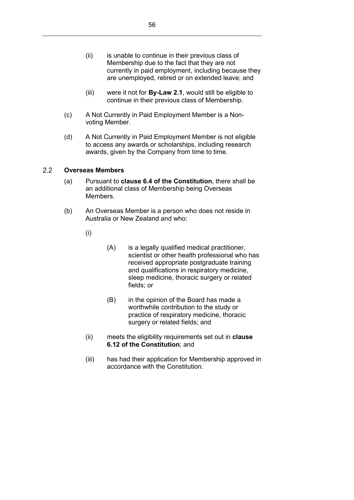- (ii) is unable to continue in their previous class of Membership due to the fact that they are not currently in paid employment, including because they are unemployed, retired or on extended leave; and
- (iii) were it not for **By-Law 2.1**, would still be eligible to continue in their previous class of Membership.
- (c) A Not Currently in Paid Employment Member is a Nonvoting Member.
- (d) A Not Currently in Paid Employment Member is not eligible to access any awards or scholarships, including research awards, given by the Company from time to time.

#### $2.2$ **Overseas Members**

- (a) Pursuant to **clause 6.4 of the Constitution**, there shall be an additional class of Membership being Overseas Members.
- (b) An Overseas Member is a person who does not reside in Australia or New Zealand and who:
	- (i)
- (A) is a legally qualified medical practitioner, scientist or other health professional who has received appropriate postgraduate training and qualifications in respiratory medicine, sleep medicine, thoracic surgery or related fields; or
- (B) in the opinion of the Board has made a worthwhile contribution to the study or practice of respiratory medicine, thoracic surgery or related fields; and
- (ii) meets the eligibility requirements set out in **clause 6.12 of the Constitution**; and
- (iii) has had their application for Membership approved in accordance with the Constitution.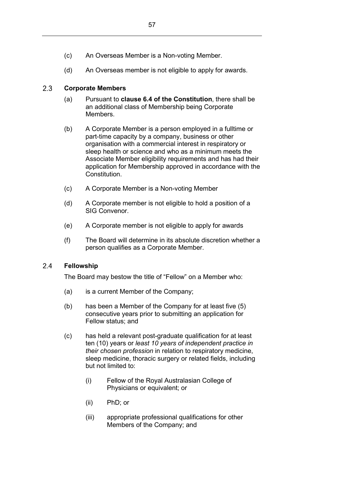- (c) An Overseas Member is a Non-voting Member.
- (d) An Overseas member is not eligible to apply for awards.

#### $2.3$ **Corporate Members**

- (a) Pursuant to **clause 6.4 of the Constitution**, there shall be an additional class of Membership being Corporate Members.
- (b) A Corporate Member is a person employed in a fulltime or part-time capacity by a company, business or other organisation with a commercial interest in respiratory or sleep health or science and who as a minimum meets the Associate Member eligibility requirements and has had their application for Membership approved in accordance with the Constitution.
- (c) A Corporate Member is a Non-voting Member
- (d) A Corporate member is not eligible to hold a position of a SIG Convenor.
- (e) A Corporate member is not eligible to apply for awards
- (f) The Board will determine in its absolute discretion whether a person qualifies as a Corporate Member.

#### $2.4$ **Fellowship**

The Board may bestow the title of "Fellow" on a Member who:

- (a) is a current Member of the Company;
- (b) has been a Member of the Company for at least five (5) consecutive years prior to submitting an application for Fellow status; and
- (c) has held a relevant post-graduate qualification for at least ten (10) years or *least 10 years of independent practice in their chosen profession* in relation to respiratory medicine, sleep medicine, thoracic surgery or related fields, including but not limited to:
	- (i) Fellow of the Royal Australasian College of Physicians or equivalent; or
	- (ii) PhD; or
	- (iii) appropriate professional qualifications for other Members of the Company; and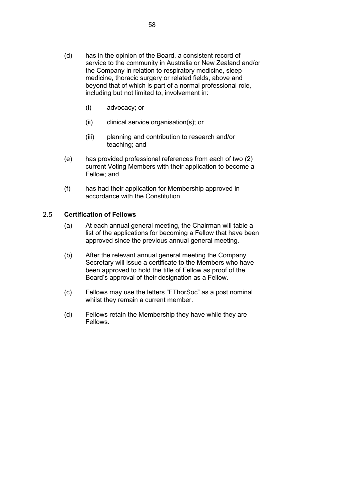- (i) advocacy; or
- (ii) clinical service organisation(s); or
- (iii) planning and contribution to research and/or teaching; and
- (e) has provided professional references from each of two (2) current Voting Members with their application to become a Fellow; and
- (f) has had their application for Membership approved in accordance with the Constitution.

### $2.5$ **Certification of Fellows**

- (a) At each annual general meeting, the Chairman will table a list of the applications for becoming a Fellow that have been approved since the previous annual general meeting.
- (b) After the relevant annual general meeting the Company Secretary will issue a certificate to the Members who have been approved to hold the title of Fellow as proof of the Board's approval of their designation as a Fellow.
- (c) Fellows may use the letters "FThorSoc" as a post nominal whilst they remain a current member.
- (d) Fellows retain the Membership they have while they are Fellows.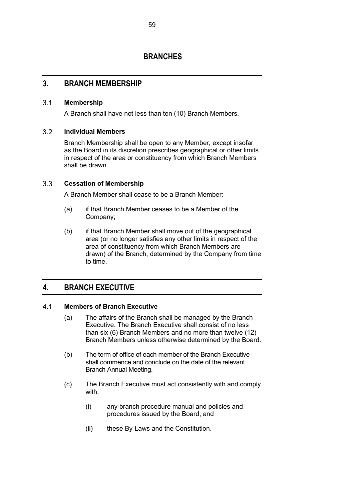# **BRANCHES**

## **3. BRANCH MEMBERSHIP**

#### $3.1$ **Membership**

A Branch shall have not less than ten (10) Branch Members.

### $3.2$ **Individual Members**

Branch Membership shall be open to any Member, except insofar as the Board in its discretion prescribes geographical or other limits in respect of the area or constituency from which Branch Members shall be drawn.

#### <span id="page-62-1"></span> $3.3$ **Cessation of Membership**

A Branch Member shall cease to be a Branch Member:

- (a) if that Branch Member ceases to be a Member of the Company;
- (b) if that Branch Member shall move out of the geographical area (or no longer satisfies any other limits in respect of the area of constituency from which Branch Members are drawn) of the Branch, determined by the Company from time to time.

# **4. BRANCH EXECUTIVE**

### <span id="page-62-2"></span><span id="page-62-0"></span> $4.1$ **Members of Branch Executive**

- (a) The affairs of the Branch shall be managed by the Branch Executive. The Branch Executive shall consist of no less than six (6) Branch Members and no more than twelve (12) Branch Members unless otherwise determined by the Board.
- (b) The term of office of each member of the Branch Executive shall commence and conclude on the date of the relevant Branch Annual Meeting.
- (c) The Branch Executive must act consistently with and comply with:
	- (i) any branch procedure manual and policies and procedures issued by the Board; and
	- (ii) these By-Laws and the Constitution.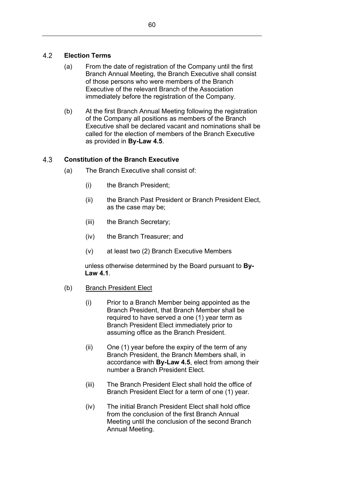### $4.2$ **Election Terms**

- (a) From the date of registration of the Company until the first Branch Annual Meeting, the Branch Executive shall consist of those persons who were members of the Branch Executive of the relevant Branch of the Association immediately before the registration of the Company.
- (b) At the first Branch Annual Meeting following the registration of the Company all positions as members of the Branch Executive shall be declared vacant and nominations shall be called for the election of members of the Branch Executive as provided in **By-Law [4.5](#page-67-0)**.

### <span id="page-63-0"></span> $4.3$ **Constitution of the Branch Executive**

- (a) The Branch Executive shall consist of:
	- (i) the Branch President;
	- (ii) the Branch Past President or Branch President Elect, as the case may be;
	- (iii) the Branch Secretary;
	- (iv) the Branch Treasurer; and
	- (v) at least two (2) Branch Executive Members

unless otherwise determined by the Board pursuant to **By-Law [4.1](#page-62-0)**.

- (b) Branch President Elect
	- (i) Prior to a Branch Member being appointed as the Branch President, that Branch Member shall be required to have served a one (1) year term as Branch President Elect immediately prior to assuming office as the Branch President.
	- (ii) One (1) year before the expiry of the term of any Branch President, the Branch Members shall, in accordance with **By-Law [4.5](#page-67-0)**, elect from among their number a Branch President Elect.
	- (iii) The Branch President Elect shall hold the office of Branch President Elect for a term of one (1) year.
	- (iv) The initial Branch President Elect shall hold office from the conclusion of the first Branch Annual Meeting until the conclusion of the second Branch Annual Meeting.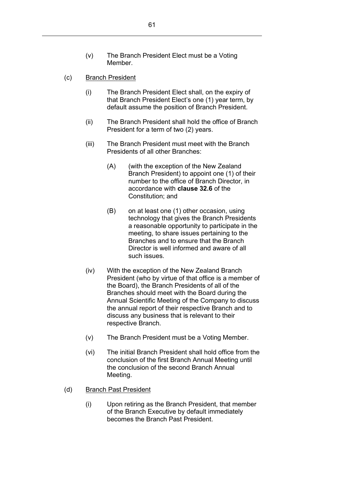- (c) Branch President
	- (i) The Branch President Elect shall, on the expiry of that Branch President Elect's one (1) year term, by default assume the position of Branch President.
	- (ii) The Branch President shall hold the office of Branch President for a term of two (2) years.
	- (iii) The Branch President must meet with the Branch Presidents of all other Branches:
		- (A) (with the exception of the New Zealand Branch President) to appoint one (1) of their number to the office of Branch Director, in accordance with **clause 32.6** of the Constitution; and
		- (B) on at least one (1) other occasion, using technology that gives the Branch Presidents a reasonable opportunity to participate in the meeting, to share issues pertaining to the Branches and to ensure that the Branch Director is well informed and aware of all such issues.
	- (iv) With the exception of the New Zealand Branch President (who by virtue of that office is a member of the Board), the Branch Presidents of all of the Branches should meet with the Board during the Annual Scientific Meeting of the Company to discuss the annual report of their respective Branch and to discuss any business that is relevant to their respective Branch.
	- (v) The Branch President must be a Voting Member.
	- (vi) The initial Branch President shall hold office from the conclusion of the first Branch Annual Meeting until the conclusion of the second Branch Annual Meeting.
- (d) Branch Past President
	- (i) Upon retiring as the Branch President, that member of the Branch Executive by default immediately becomes the Branch Past President.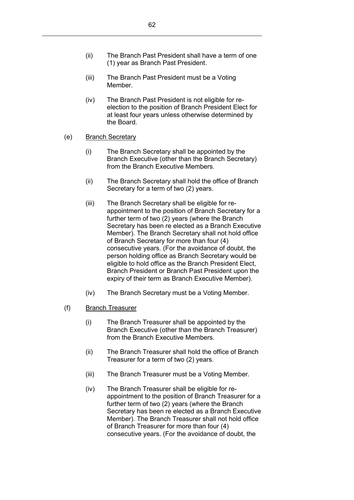- (iii) The Branch Past President must be a Voting Member.
- (iv) The Branch Past President is not eligible for reelection to the position of Branch President Elect for at least four years unless otherwise determined by the Board.
- (e) Branch Secretary
	- (i) The Branch Secretary shall be appointed by the Branch Executive (other than the Branch Secretary) from the Branch Executive Members.
	- (ii) The Branch Secretary shall hold the office of Branch Secretary for a term of two (2) years.
	- (iii) The Branch Secretary shall be eligible for reappointment to the position of Branch Secretary for a further term of two (2) years (where the Branch Secretary has been re elected as a Branch Executive Member). The Branch Secretary shall not hold office of Branch Secretary for more than four (4) consecutive years. (For the avoidance of doubt, the person holding office as Branch Secretary would be eligible to hold office as the Branch President Elect, Branch President or Branch Past President upon the expiry of their term as Branch Executive Member).
	- (iv) The Branch Secretary must be a Voting Member.
- (f) Branch Treasurer
	- (i) The Branch Treasurer shall be appointed by the Branch Executive (other than the Branch Treasurer) from the Branch Executive Members.
	- (ii) The Branch Treasurer shall hold the office of Branch Treasurer for a term of two (2) years.
	- (iii) The Branch Treasurer must be a Voting Member.
	- (iv) The Branch Treasurer shall be eligible for reappointment to the position of Branch Treasurer for a further term of two (2) years (where the Branch Secretary has been re elected as a Branch Executive Member). The Branch Treasurer shall not hold office of Branch Treasurer for more than four (4) consecutive years. (For the avoidance of doubt, the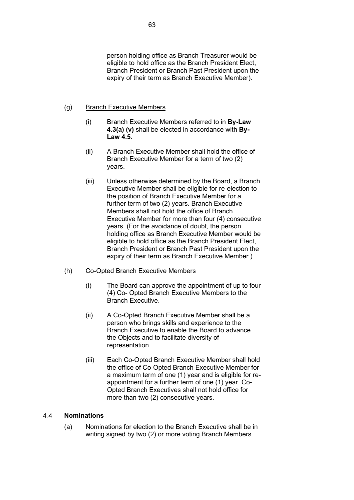### (g) Branch Executive Members

- (i) Branch Executive Members referred to in **By-Law 4.3(a) (v)** shall be elected in accordance with **By-Law [4.5](#page-67-0)**.
- (ii) A Branch Executive Member shall hold the office of Branch Executive Member for a term of two (2) years.
- (iii) Unless otherwise determined by the Board, a Branch Executive Member shall be eligible for re-election to the position of Branch Executive Member for a further term of two (2) years. Branch Executive Members shall not hold the office of Branch Executive Member for more than four (4) consecutive years. (For the avoidance of doubt, the person holding office as Branch Executive Member would be eligible to hold office as the Branch President Elect, Branch President or Branch Past President upon the expiry of their term as Branch Executive Member.)
- (h) Co-Opted Branch Executive Members
	- (i) The Board can approve the appointment of up to four (4) Co- Opted Branch Executive Members to the Branch Executive.
	- (ii) A Co-Opted Branch Executive Member shall be a person who brings skills and experience to the Branch Executive to enable the Board to advance the Objects and to facilitate diversity of representation.
	- (iii) Each Co-Opted Branch Executive Member shall hold the office of Co-Opted Branch Executive Member for a maximum term of one (1) year and is eligible for reappointment for a further term of one (1) year. Co-Opted Branch Executives shall not hold office for more than two (2) consecutive years.

#### <span id="page-66-0"></span> $4.4$ **Nominations**

(a) Nominations for election to the Branch Executive shall be in writing signed by two (2) or more voting Branch Members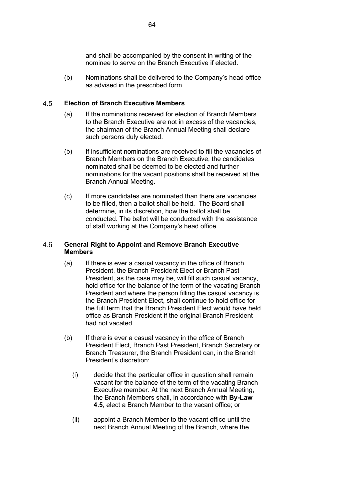and shall be accompanied by the consent in writing of the nominee to serve on the Branch Executive if elected.

(b) Nominations shall be delivered to the Company's head office as advised in the prescribed form.

#### <span id="page-67-0"></span>4.5 **Election of Branch Executive Members**

- (a) If the nominations received for election of Branch Members to the Branch Executive are not in excess of the vacancies, the chairman of the Branch Annual Meeting shall declare such persons duly elected.
- (b) If insufficient nominations are received to fill the vacancies of Branch Members on the Branch Executive, the candidates nominated shall be deemed to be elected and further nominations for the vacant positions shall be received at the Branch Annual Meeting.
- (c) If more candidates are nominated than there are vacancies to be filled, then a ballot shall be held. The Board shall determine, in its discretion, how the ballot shall be conducted. The ballot will be conducted with the assistance of staff working at the Company's head office.

### 4.6 **General Right to Appoint and Remove Branch Executive Members**

- (a) If there is ever a casual vacancy in the office of Branch President, the Branch President Elect or Branch Past President, as the case may be, will fill such casual vacancy, hold office for the balance of the term of the vacating Branch President and where the person filling the casual vacancy is the Branch President Elect, shall continue to hold office for the full term that the Branch President Elect would have held office as Branch President if the original Branch President had not vacated.
- (b) If there is ever a casual vacancy in the office of Branch President Elect, Branch Past President, Branch Secretary or Branch Treasurer, the Branch President can, in the Branch President's discretion:
	- (i) decide that the particular office in question shall remain vacant for the balance of the term of the vacating Branch Executive member. At the next Branch Annual Meeting, the Branch Members shall, in accordance with **By-Law [4.5](#page-67-0)**, elect a Branch Member to the vacant office; or
	- (ii) appoint a Branch Member to the vacant office until the next Branch Annual Meeting of the Branch, where the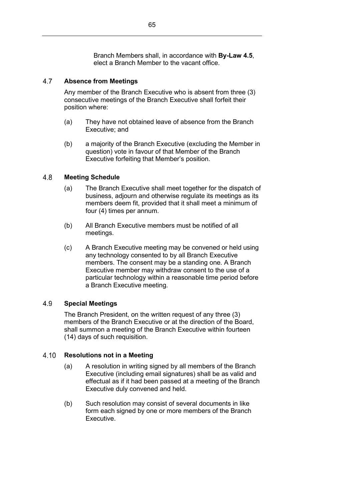Branch Members shall, in accordance with **By-Law [4.5](#page-67-0)**, elect a Branch Member to the vacant office.

### 4.7 **Absence from Meetings**

Any member of the Branch Executive who is absent from three (3) consecutive meetings of the Branch Executive shall forfeit their position where:

- (a) They have not obtained leave of absence from the Branch Executive; and
- (b) a majority of the Branch Executive (excluding the Member in question) vote in favour of that Member of the Branch Executive forfeiting that Member's position.

#### 4.8 **Meeting Schedule**

- (a) The Branch Executive shall meet together for the dispatch of business, adjourn and otherwise regulate its meetings as its members deem fit, provided that it shall meet a minimum of four (4) times per annum.
- (b) All Branch Executive members must be notified of all meetings.
- (c) A Branch Executive meeting may be convened or held using any technology consented to by all Branch Executive members. The consent may be a standing one. A Branch Executive member may withdraw consent to the use of a particular technology within a reasonable time period before a Branch Executive meeting.

### 4.9 **Special Meetings**

The Branch President, on the written request of any three (3) members of the Branch Executive or at the direction of the Board, shall summon a meeting of the Branch Executive within fourteen (14) days of such requisition.

#### $4.10$ **Resolutions not in a Meeting**

- (a) A resolution in writing signed by all members of the Branch Executive (including email signatures) shall be as valid and effectual as if it had been passed at a meeting of the Branch Executive duly convened and held.
- (b) Such resolution may consist of several documents in like form each signed by one or more members of the Branch Executive.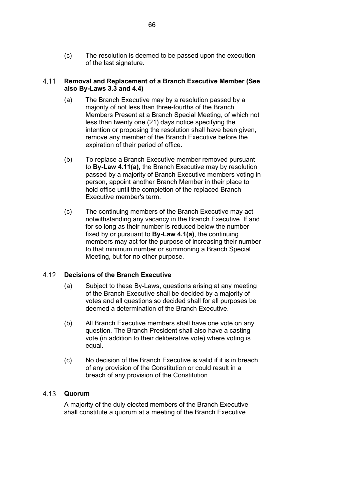(c) The resolution is deemed to be passed upon the execution of the last signature.

### <span id="page-69-0"></span>4.11 **Removal and Replacement of a Branch Executive Member (See also By-Laws [3.3](#page-62-1) and [4.4\)](#page-66-0)**

- (a) The Branch Executive may by a resolution passed by a majority of not less than three-fourths of the Branch Members Present at a Branch Special Meeting, of which not less than twenty one (21) days notice specifying the intention or proposing the resolution shall have been given, remove any member of the Branch Executive before the expiration of their period of office.
- (b) To replace a Branch Executive member removed pursuant to **By-Law [4.11\(](#page-69-0)a)**, the Branch Executive may by resolution passed by a majority of Branch Executive members voting in person, appoint another Branch Member in their place to hold office until the completion of the replaced Branch Executive member's term.
- (c) The continuing members of the Branch Executive may act notwithstanding any vacancy in the Branch Executive. If and for so long as their number is reduced below the number fixed by or pursuant to **By-Law [4.1\(a\)](#page-62-2)**, the continuing members may act for the purpose of increasing their number to that minimum number or summoning a Branch Special Meeting, but for no other purpose.

#### 4.12 **Decisions of the Branch Executive**

- (a) Subject to these By-Laws, questions arising at any meeting of the Branch Executive shall be decided by a majority of votes and all questions so decided shall for all purposes be deemed a determination of the Branch Executive.
- (b) All Branch Executive members shall have one vote on any question. The Branch President shall also have a casting vote (in addition to their deliberative vote) where voting is equal.
- (c) No decision of the Branch Executive is valid if it is in breach of any provision of the Constitution or could result in a breach of any provision of the Constitution.

### **Quorum**

A majority of the duly elected members of the Branch Executive shall constitute a quorum at a meeting of the Branch Executive.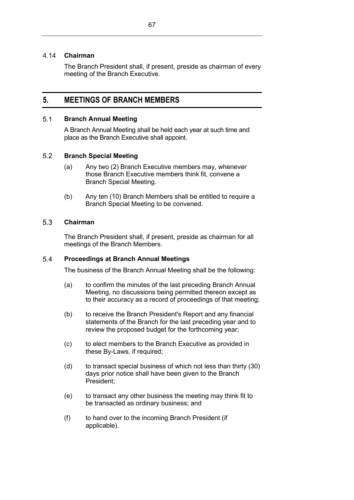#### 4.14 **Chairman**

The Branch President shall, if present, preside as chairman of every meeting of the Branch Executive.

## **5. MEETINGS OF BRANCH MEMBERS**

#### <span id="page-70-0"></span> $5.1$ **Branch Annual Meeting**

A Branch Annual Meeting shall be held each year at such time and place as the Branch Executive shall appoint.

#### $5.2$ **Branch Special Meeting**

- (a) Any two (2) Branch Executive members may, whenever those Branch Executive members think fit, convene a Branch Special Meeting.
- (b) Any ten (10) Branch Members shall be entitled to require a Branch Special Meeting to be convened.

#### $5.3$ **Chairman**

The Branch President shall, if present, preside as chairman for all meetings of the Branch Members.

#### $5.4$ **Proceedings at Branch Annual Meetings**

The business of the Branch Annual Meeting shall be the following:

- (a) to confirm the minutes of the last preceding Branch Annual Meeting, no discussions being permitted thereon except as to their accuracy as a record of proceedings of that meeting;
- (b) to receive the Branch President's Report and any financial statements of the Branch for the last preceding year and to review the proposed budget for the forthcoming year;
- (c) to elect members to the Branch Executive as provided in these By-Laws, if required;
- (d) to transact special business of which not less than thirty (30) days prior notice shall have been given to the Branch President;
- (e) to transact any other business the meeting may think fit to be transacted as ordinary business; and
- (f) to hand over to the incoming Branch President (if applicable).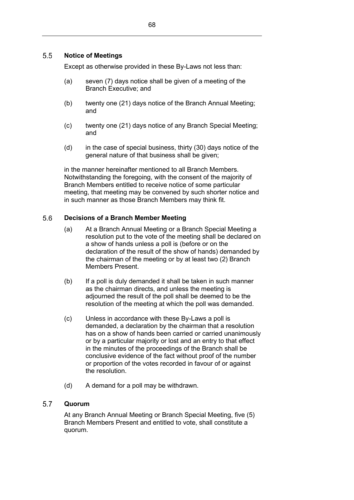Except as otherwise provided in these By-Laws not less than:

- (a) seven (7) days notice shall be given of a meeting of the Branch Executive; and
- (b) twenty one (21) days notice of the Branch Annual Meeting; and
- (c) twenty one (21) days notice of any Branch Special Meeting; and
- (d) in the case of special business, thirty (30) days notice of the general nature of that business shall be given;

in the manner hereinafter mentioned to all Branch Members. Notwithstanding the foregoing, with the consent of the majority of Branch Members entitled to receive notice of some particular meeting, that meeting may be convened by such shorter notice and in such manner as those Branch Members may think fit.

#### 5.6 **Decisions of a Branch Member Meeting**

- (a) At a Branch Annual Meeting or a Branch Special Meeting a resolution put to the vote of the meeting shall be declared on a show of hands unless a poll is (before or on the declaration of the result of the show of hands) demanded by the chairman of the meeting or by at least two (2) Branch Members Present.
- (b) If a poll is duly demanded it shall be taken in such manner as the chairman directs, and unless the meeting is adjourned the result of the poll shall be deemed to be the resolution of the meeting at which the poll was demanded.
- (c) Unless in accordance with these By-Laws a poll is demanded, a declaration by the chairman that a resolution has on a show of hands been carried or carried unanimously or by a particular majority or lost and an entry to that effect in the minutes of the proceedings of the Branch shall be conclusive evidence of the fact without proof of the number or proportion of the votes recorded in favour of or against the resolution.
- (d) A demand for a poll may be withdrawn.

#### 5.7 **Quorum**

At any Branch Annual Meeting or Branch Special Meeting, five (5) Branch Members Present and entitled to vote, shall constitute a quorum.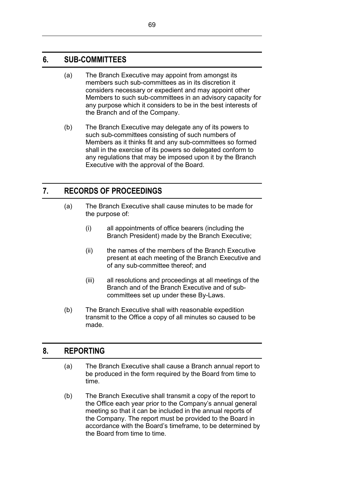## **6. SUB-COMMITTEES**

- (a) The Branch Executive may appoint from amongst its members such sub-committees as in its discretion it considers necessary or expedient and may appoint other Members to such sub-committees in an advisory capacity for any purpose which it considers to be in the best interests of the Branch and of the Company.
- (b) The Branch Executive may delegate any of its powers to such sub-committees consisting of such numbers of Members as it thinks fit and any sub-committees so formed shall in the exercise of its powers so delegated conform to any regulations that may be imposed upon it by the Branch Executive with the approval of the Board.

# **7. RECORDS OF PROCEEDINGS**

- (a) The Branch Executive shall cause minutes to be made for the purpose of:
	- (i) all appointments of office bearers (including the Branch President) made by the Branch Executive;
	- (ii) the names of the members of the Branch Executive present at each meeting of the Branch Executive and of any sub-committee thereof; and
	- (iii) all resolutions and proceedings at all meetings of the Branch and of the Branch Executive and of subcommittees set up under these By-Laws.
- (b) The Branch Executive shall with reasonable expedition transmit to the Office a copy of all minutes so caused to be made.

## **8. REPORTING**

- (a) The Branch Executive shall cause a Branch annual report to be produced in the form required by the Board from time to time.
- (b) The Branch Executive shall transmit a copy of the report to the Office each year prior to the Company's annual general meeting so that it can be included in the annual reports of the Company. The report must be provided to the Board in accordance with the Board's timeframe, to be determined by the Board from time to time.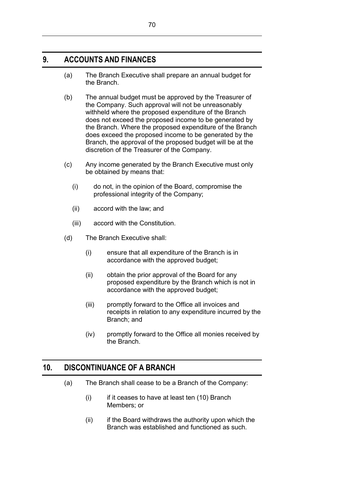## **9. ACCOUNTS AND FINANCES**

- (a) The Branch Executive shall prepare an annual budget for the Branch.
- (b) The annual budget must be approved by the Treasurer of the Company. Such approval will not be unreasonably withheld where the proposed expenditure of the Branch does not exceed the proposed income to be generated by the Branch. Where the proposed expenditure of the Branch does exceed the proposed income to be generated by the Branch, the approval of the proposed budget will be at the discretion of the Treasurer of the Company.
- (c) Any income generated by the Branch Executive must only be obtained by means that:
	- (i) do not, in the opinion of the Board, compromise the professional integrity of the Company;
	- (ii) accord with the law; and
	- (iii) accord with the Constitution.
- (d) The Branch Executive shall:
	- (i) ensure that all expenditure of the Branch is in accordance with the approved budget;
	- (ii) obtain the prior approval of the Board for any proposed expenditure by the Branch which is not in accordance with the approved budget;
	- (iii) promptly forward to the Office all invoices and receipts in relation to any expenditure incurred by the Branch; and
	- (iv) promptly forward to the Office all monies received by the Branch.

## **10. DISCONTINUANCE OF A BRANCH**

- (a) The Branch shall cease to be a Branch of the Company:
	- $(i)$  if it ceases to have at least ten  $(10)$  Branch Members; or
	- (ii) if the Board withdraws the authority upon which the Branch was established and functioned as such.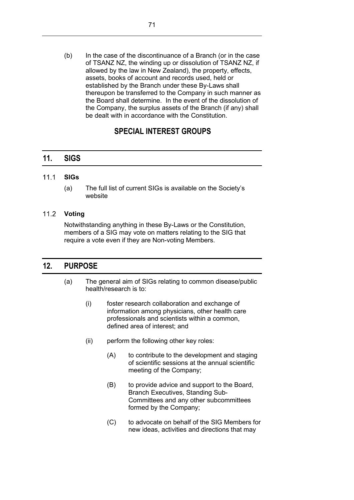(b) In the case of the discontinuance of a Branch (or in the case of TSANZ NZ, the winding up or dissolution of TSANZ NZ, if allowed by the law in New Zealand), the property, effects, assets, books of account and records used, held or established by the Branch under these By-Laws shall thereupon be transferred to the Company in such manner as the Board shall determine. In the event of the dissolution of the Company, the surplus assets of the Branch (if any) shall be dealt with in accordance with the Constitution.

# **SPECIAL INTEREST GROUPS**

## **11. SIGS**

#### $11.1$ **SIGs**

(a) The full list of current SIGs is available on the Society's website

### **Voting**

Notwithstanding anything in these By-Laws or the Constitution, members of a SIG may vote on matters relating to the SIG that require a vote even if they are Non-voting Members.

### **12. PURPOSE**

- <span id="page-74-0"></span>(a) The general aim of SIGs relating to common disease/public health/research is to:
	- (i) foster research collaboration and exchange of information among physicians, other health care professionals and scientists within a common, defined area of interest; and
	- (ii) perform the following other key roles:
		- (A) to contribute to the development and staging of scientific sessions at the annual scientific meeting of the Company;
		- (B) to provide advice and support to the Board, Branch Executives, Standing Sub-Committees and any other subcommittees formed by the Company;
		- (C) to advocate on behalf of the SIG Members for new ideas, activities and directions that may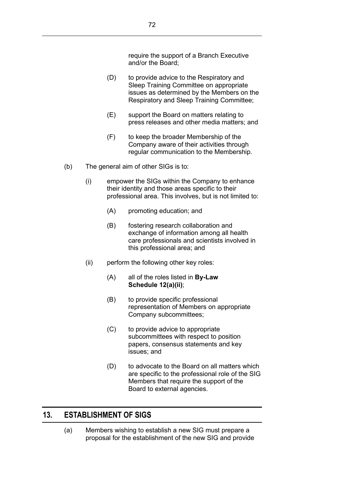require the support of a Branch Executive and/or the Board;

- (D) to provide advice to the Respiratory and Sleep Training Committee on appropriate issues as determined by the Members on the Respiratory and Sleep Training Committee;
- (E) support the Board on matters relating to press releases and other media matters; and
- (F) to keep the broader Membership of the Company aware of their activities through regular communication to the Membership.
- (b) The general aim of other SIGs is to:
	- (i) empower the SIGs within the Company to enhance their identity and those areas specific to their professional area. This involves, but is not limited to:
		- (A) promoting education; and
		- (B) fostering research collaboration and exchange of information among all health care professionals and scientists involved in this professional area; and
	- (ii) perform the following other key roles:
		- (A) all of the roles listed in **By-Law [Schedule](#page-74-0) 12(a)(ii)**;
		- (B) to provide specific professional representation of Members on appropriate Company subcommittees;
		- (C) to provide advice to appropriate subcommittees with respect to position papers, consensus statements and key issues; and
		- (D) to advocate to the Board on all matters which are specific to the professional role of the SIG Members that require the support of the Board to external agencies.

## **13. ESTABLISHMENT OF SIGS**

(a) Members wishing to establish a new SIG must prepare a proposal for the establishment of the new SIG and provide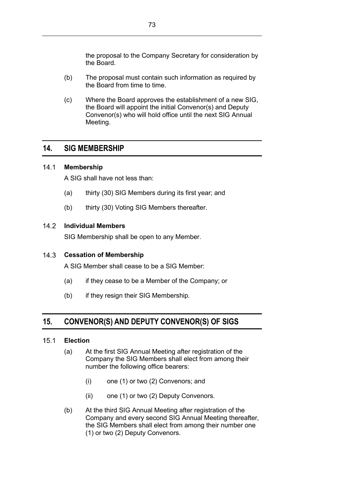the proposal to the Company Secretary for consideration by the Board.

- (b) The proposal must contain such information as required by the Board from time to time.
- (c) Where the Board approves the establishment of a new SIG, the Board will appoint the initial Convenor(s) and Deputy Convenor(s) who will hold office until the next SIG Annual Meeting.

### **14. SIG MEMBERSHIP**

#### $14.1$ **Membership**

A SIG shall have not less than:

- (a) thirty (30) SIG Members during its first year; and
- (b) thirty (30) Voting SIG Members thereafter.

#### $142$ **Individual Members**

SIG Membership shall be open to any Member.

### **Cessation of Membership**

A SIG Member shall cease to be a SIG Member:

- (a) if they cease to be a Member of the Company; or
- (b) if they resign their SIG Membership.

# **15. CONVENOR(S) AND DEPUTY CONVENOR(S) OF SIGS**

#### $15.1$ **Election**

- (a) At the first SIG Annual Meeting after registration of the Company the SIG Members shall elect from among their number the following office bearers:
	- (i) one (1) or two (2) Convenors; and
	- (ii) one (1) or two (2) Deputy Convenors.
- (b) At the third SIG Annual Meeting after registration of the Company and every second SIG Annual Meeting thereafter, the SIG Members shall elect from among their number one (1) or two (2) Deputy Convenors.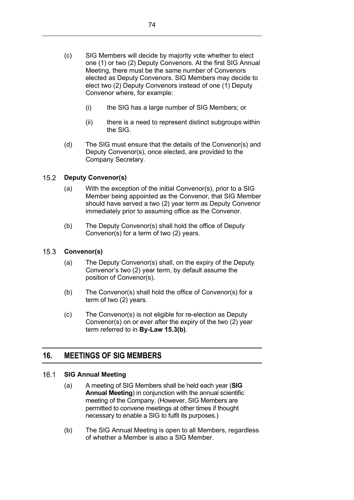- (c) SIG Members will decide by majority vote whether to elect one (1) or two (2) Deputy Convenors. At the first SIG Annual Meeting, there must be the same number of Convenors elected as Deputy Convenors. SIG Members may decide to elect two (2) Deputy Convenors instead of one (1) Deputy Convenor where, for example:
	- (i) the SIG has a large number of SIG Members; or
	- (ii) there is a need to represent distinct subgroups within the SIG.
- (d) The SIG must ensure that the details of the Convenor(s) and Deputy Convenor(s), once elected, are provided to the Company Secretary.

#### $15.2$ **Deputy Convenor(s)**

- (a) With the exception of the initial Convenor(s), prior to a SIG Member being appointed as the Convenor, that SIG Member should have served a two (2) year term as Deputy Convenor immediately prior to assuming office as the Convenor.
- (b) The Deputy Convenor(s) shall hold the office of Deputy Convenor(s) for a term of two (2) years.

#### $15.3$ **Convenor(s)**

- (a) The Deputy Convenor(s) shall, on the expiry of the Deputy Convenor's two (2) year term, by default assume the position of Convenor(s).
- (b) The Convenor(s) shall hold the office of Convenor(s) for a term of two (2) years.
- (c) The Convenor(s) is not eligible for re-election as Deputy Convenor(s) on or ever after the expiry of the two (2) year term referred to in **By-Law 15.3(b)**.

## **16. MEETINGS OF SIG MEMBERS**

#### $16.1$ **SIG Annual Meeting**

- (a) A meeting of SIG Members shall be held each year (**SIG Annual Meeting**) in conjunction with the annual scientific meeting of the Company. (However, SIG Members are permitted to convene meetings at other times if thought necessary to enable a SIG to fulfil its purposes.)
- (b) The SIG Annual Meeting is open to all Members, regardless of whether a Member is also a SIG Member.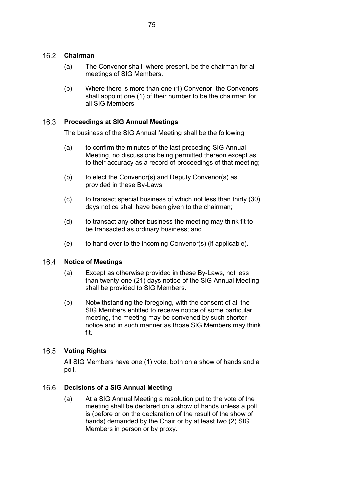#### $16.2$ **Chairman**

- (a) The Convenor shall, where present, be the chairman for all meetings of SIG Members.
- (b) Where there is more than one (1) Convenor, the Convenors shall appoint one (1) of their number to be the chairman for all SIG Members.

#### $16.3$ **Proceedings at SIG Annual Meetings**

The business of the SIG Annual Meeting shall be the following:

- (a) to confirm the minutes of the last preceding SIG Annual Meeting, no discussions being permitted thereon except as to their accuracy as a record of proceedings of that meeting;
- (b) to elect the Convenor(s) and Deputy Convenor(s) as provided in these By-Laws;
- (c) to transact special business of which not less than thirty (30) days notice shall have been given to the chairman;
- (d) to transact any other business the meeting may think fit to be transacted as ordinary business; and
- (e) to hand over to the incoming Convenor(s) (if applicable).

#### 16.4 **Notice of Meetings**

- (a) Except as otherwise provided in these By-Laws, not less than twenty-one (21) days notice of the SIG Annual Meeting shall be provided to SIG Members.
- (b) Notwithstanding the foregoing, with the consent of all the SIG Members entitled to receive notice of some particular meeting, the meeting may be convened by such shorter notice and in such manner as those SIG Members may think fit.

#### $16.5$ **Voting Rights**

All SIG Members have one (1) vote, both on a show of hands and a poll.

#### 16.6 **Decisions of a SIG Annual Meeting**

(a) At a SIG Annual Meeting a resolution put to the vote of the meeting shall be declared on a show of hands unless a poll is (before or on the declaration of the result of the show of hands) demanded by the Chair or by at least two (2) SIG Members in person or by proxy.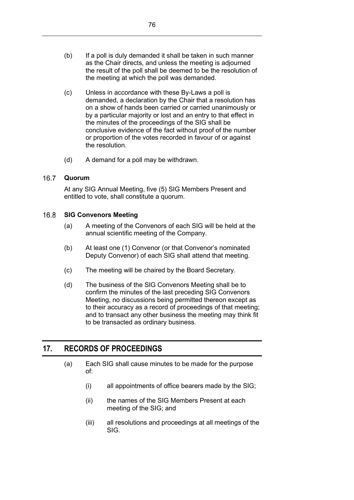- (b) If a poll is duly demanded it shall be taken in such manner as the Chair directs, and unless the meeting is adjourned the result of the poll shall be deemed to be the resolution of the meeting at which the poll was demanded.
- (c) Unless in accordance with these By-Laws a poll is demanded, a declaration by the Chair that a resolution has on a show of hands been carried or carried unanimously or by a particular majority or lost and an entry to that effect in the minutes of the proceedings of the SIG shall be conclusive evidence of the fact without proof of the number or proportion of the votes recorded in favour of or against the resolution.
- (d) A demand for a poll may be withdrawn.

#### $16.7$ **Quorum**

At any SIG Annual Meeting, five (5) SIG Members Present and entitled to vote, shall constitute a quorum.

#### $16.8$ **SIG Convenors Meeting**

- (a) A meeting of the Convenors of each SIG will be held at the annual scientific meeting of the Company.
- (b) At least one (1) Convenor (or that Convenor's nominated Deputy Convenor) of each SIG shall attend that meeting.
- (c) The meeting will be chaired by the Board Secretary.
- (d) The business of the SIG Convenors Meeting shall be to confirm the minutes of the last preceding SIG Convenors Meeting, no discussions being permitted thereon except as to their accuracy as a record of proceedings of that meeting; and to transact any other business the meeting may think fit to be transacted as ordinary business.

# **17. RECORDS OF PROCEEDINGS**

- (a) Each SIG shall cause minutes to be made for the purpose of:
	- (i) all appointments of office bearers made by the SIG;
	- (ii) the names of the SIG Members Present at each meeting of the SIG; and
	- (iii) all resolutions and proceedings at all meetings of the SIG.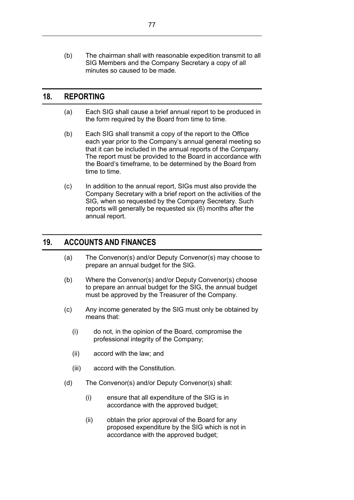(b) The chairman shall with reasonable expedition transmit to all SIG Members and the Company Secretary a copy of all minutes so caused to be made.

## **18. REPORTING**

- (a) Each SIG shall cause a brief annual report to be produced in the form required by the Board from time to time.
- (b) Each SIG shall transmit a copy of the report to the Office each year prior to the Company's annual general meeting so that it can be included in the annual reports of the Company. The report must be provided to the Board in accordance with the Board's timeframe, to be determined by the Board from time to time.
- (c) In addition to the annual report, SIGs must also provide the Company Secretary with a brief report on the activities of the SIG, when so requested by the Company Secretary. Such reports will generally be requested six (6) months after the annual report.

### **19. ACCOUNTS AND FINANCES**

- (a) The Convenor(s) and/or Deputy Convenor(s) may choose to prepare an annual budget for the SIG.
- (b) Where the Convenor(s) and/or Deputy Convenor(s) choose to prepare an annual budget for the SIG, the annual budget must be approved by the Treasurer of the Company.
- (c) Any income generated by the SIG must only be obtained by means that:
	- (i) do not, in the opinion of the Board, compromise the professional integrity of the Company;
	- (ii) accord with the law; and
	- (iii) accord with the Constitution.
- (d) The Convenor(s) and/or Deputy Convenor(s) shall:
	- (i) ensure that all expenditure of the SIG is in accordance with the approved budget;
	- (ii) obtain the prior approval of the Board for any proposed expenditure by the SIG which is not in accordance with the approved budget;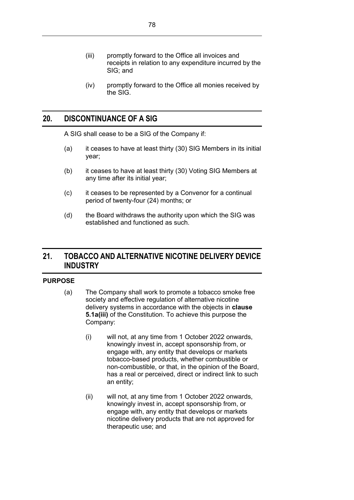- (iii) promptly forward to the Office all invoices and receipts in relation to any expenditure incurred by the SIG; and
- (iv) promptly forward to the Office all monies received by the SIG.

### **20. DISCONTINUANCE OF A SIG**

A SIG shall cease to be a SIG of the Company if:

- (a) it ceases to have at least thirty (30) SIG Members in its initial year;
- (b) it ceases to have at least thirty (30) Voting SIG Members at any time after its initial year;
- (c) it ceases to be represented by a Convenor for a continual period of twenty-four (24) months; or
- (d) the Board withdraws the authority upon which the SIG was established and functioned as such.

## **21. TOBACCO AND ALTERNATIVE NICOTINE DELIVERY DEVICE INDUSTRY**

### **PURPOSE**

- (a) The Company shall work to promote a tobacco smoke free society and effective regulation of alternative nicotine delivery systems in accordance with the objects in **clause 5.1a(iii)** of the Constitution. To achieve this purpose the Company:
	- (i) will not, at any time from 1 October 2022 onwards, knowingly invest in, accept sponsorship from, or engage with, any entity that develops or markets tobacco-based products, whether combustible or non-combustible, or that, in the opinion of the Board, has a real or perceived, direct or indirect link to such an entity;
	- (ii) will not, at any time from 1 October 2022 onwards, knowingly invest in, accept sponsorship from, or engage with, any entity that develops or markets nicotine delivery products that are not approved for therapeutic use; and